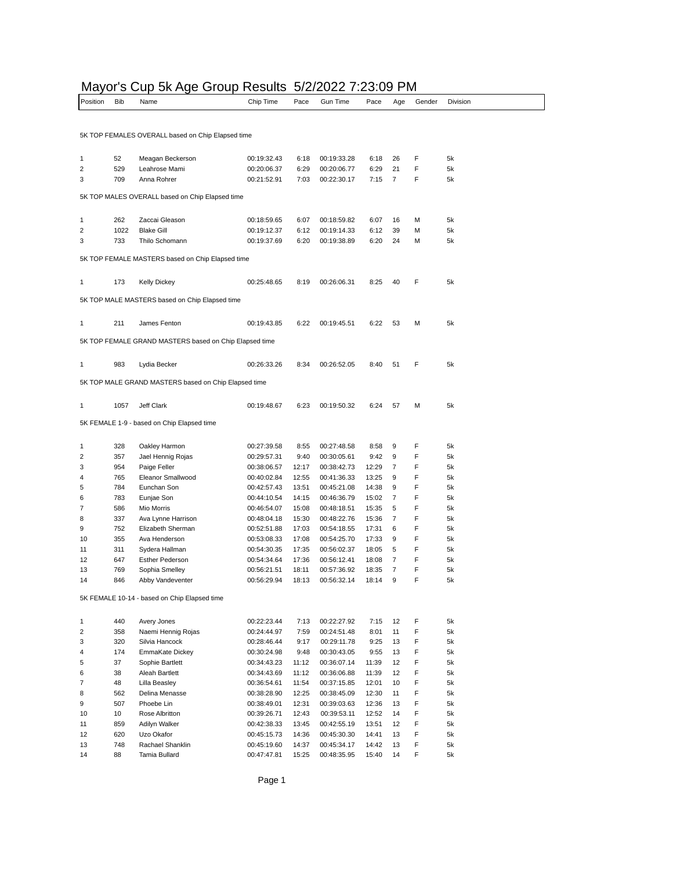#### Mayor's Cup 5k Age Group Results 5/2/2022 7:23:09 PM

| Position | <b>Bib</b> | Name                                                   | Chip Time   | Pace  | Gun Time    | Pace  | Age | Gender | Division |
|----------|------------|--------------------------------------------------------|-------------|-------|-------------|-------|-----|--------|----------|
|          |            |                                                        |             |       |             |       |     |        |          |
|          |            | 5K TOP FEMALES OVERALL based on Chip Elapsed time      |             |       |             |       |     |        |          |
| 1        | 52         | Meagan Beckerson                                       | 00:19:32.43 | 6:18  | 00:19:33.28 | 6:18  | 26  | F      | 5k       |
| 2        | 529        | Leahrose Mami                                          | 00:20:06.37 | 6:29  | 00:20:06.77 | 6:29  | 21  | F      | 5k       |
| 3        | 709        | Anna Rohrer                                            | 00:21:52.91 | 7:03  | 00:22:30.17 | 7:15  | 7   | F      | 5k       |
|          |            | 5K TOP MALES OVERALL based on Chip Elapsed time        |             |       |             |       |     |        |          |
| 1        | 262        | Zaccai Gleason                                         | 00:18:59.65 | 6:07  | 00:18:59.82 | 6:07  | 16  | M      | 5k       |
| 2        | 1022       | <b>Blake Gill</b>                                      | 00:19:12.37 | 6:12  | 00:19:14.33 | 6:12  | 39  | M      | 5k       |
| 3        | 733        | Thilo Schomann                                         | 00:19:37.69 | 6:20  | 00:19:38.89 | 6:20  | 24  | M      | 5k       |
|          |            |                                                        |             |       |             |       |     |        |          |
|          |            | 5K TOP FEMALE MASTERS based on Chip Elapsed time       |             |       |             |       |     |        |          |
| 1        | 173        | <b>Kelly Dickey</b>                                    | 00:25:48.65 | 8:19  | 00:26:06.31 | 8:25  | 40  | F      | 5k       |
|          |            | 5K TOP MALE MASTERS based on Chip Elapsed time         |             |       |             |       |     |        |          |
| 1        | 211        | James Fenton                                           | 00:19:43.85 | 6:22  | 00:19:45.51 | 6:22  | 53  | M      | 5k       |
|          |            | 5K TOP FEMALE GRAND MASTERS based on Chip Elapsed time |             |       |             |       |     |        |          |
|          |            |                                                        |             |       |             |       |     |        |          |
| 1        | 983        | Lydia Becker                                           | 00:26:33.26 | 8:34  | 00:26:52.05 | 8:40  | 51  | F      | 5k       |
|          |            | 5K TOP MALE GRAND MASTERS based on Chip Elapsed time   |             |       |             |       |     |        |          |
| 1        | 1057       | Jeff Clark                                             | 00:19:48.67 | 6:23  | 00:19:50.32 | 6:24  | 57  | M      | 5k       |
|          |            | 5K FEMALE 1-9 - based on Chip Elapsed time             |             |       |             |       |     |        |          |
| 1        | 328        | Oakley Harmon                                          | 00:27:39.58 | 8:55  | 00:27:48.58 | 8:58  | 9   | F      | 5k       |
| 2        | 357        | Jael Hennig Rojas                                      | 00:29:57.31 | 9:40  | 00:30:05.61 | 9:42  | 9   | F      | 5k       |
| 3        | 954        | Paige Feller                                           | 00:38:06.57 | 12:17 | 00:38:42.73 | 12:29 | 7   | F      | 5k       |
| 4        | 765        | Eleanor Smallwood                                      | 00:40:02.84 | 12:55 | 00:41:36.33 | 13:25 | 9   | F      | 5k       |
| 5        | 784        | Eunchan Son                                            | 00:42:57.43 | 13:51 | 00:45:21.08 | 14:38 | 9   | F      | 5k       |
| 6        | 783        | Eunjae Son                                             | 00:44:10.54 | 14:15 | 00:46:36.79 | 15:02 | 7   | F      | 5k       |
| 7        | 586        | Mio Morris                                             | 00:46:54.07 | 15:08 | 00:48:18.51 | 15:35 | 5   | F      | 5k       |
| 8        | 337        | Ava Lynne Harrison                                     | 00:48:04.18 | 15:30 | 00:48:22.76 | 15:36 | 7   | F      | 5k       |
| 9        | 752        | Elizabeth Sherman                                      | 00:52:51.88 | 17:03 | 00:54:18.55 | 17:31 | 6   | F      | 5k       |
| 10       | 355        | Ava Henderson                                          | 00:53:08.33 | 17:08 | 00:54:25.70 | 17:33 | 9   | F      | 5k       |
| 11       | 311        | Sydera Hallman                                         | 00:54:30.35 | 17:35 | 00:56:02.37 | 18:05 | 5   | F      | 5k       |
| 12       | 647        | <b>Esther Pederson</b>                                 | 00:54:34.64 | 17:36 | 00:56:12.41 | 18:08 | 7   | F      | 5k       |
| 13       | 769        | Sophia Smelley                                         | 00:56:21.51 | 18:11 | 00:57:36.92 | 18:35 | 7   | F      | 5k       |
| 14       | 846        | Abby Vandeventer                                       | 00:56:29.94 | 18:13 | 00:56:32.14 | 18:14 | 9   | F      | 5k       |
|          |            | 5K FEMALE 10-14 - based on Chip Elapsed time           |             |       |             |       |     |        |          |
| 1        | 440        | Avery Jones                                            | 00:22:23.44 | 7:13  | 00:22:27.92 | 7:15  | 12  | F      | 5k       |
| 2        | 358        | Naemi Hennig Rojas                                     | 00:24:44.97 | 7:59  | 00:24:51.48 | 8:01  | 11  | F      | 5k       |
| 3        | 320        | Silvia Hancock                                         | 00:28:46.44 | 9:17  | 00:29:11.78 | 9:25  | 13  | F      | 5k       |
| 4        | 174        | EmmaKate Dickey                                        | 00:30:24.98 | 9:48  | 00:30:43.05 | 9:55  | 13  | F      | 5k       |
| 5        | 37         | Sophie Bartlett                                        | 00:34:43.23 | 11:12 | 00:36:07.14 | 11:39 | 12  | F      | 5k       |
| 6        | 38         | Aleah Bartlett                                         | 00:34:43.69 | 11:12 | 00:36:06.88 | 11:39 | 12  | F      | 5k       |
| 7        | 48         | Lilla Beasley                                          | 00:36:54.61 | 11:54 | 00:37:15.85 | 12:01 | 10  | F      | 5k       |
| 8        | 562        | Delina Menasse                                         | 00:38:28.90 | 12:25 | 00:38:45.09 | 12:30 | 11  | F      | 5k       |
| 9        | 507        | Phoebe Lin                                             | 00:38:49.01 | 12:31 | 00:39:03.63 | 12:36 | 13  | F      | 5k       |
| 10       | 10         | Rose Albritton                                         | 00:39:26.71 | 12:43 | 00:39:53.11 | 12:52 | 14  | F      | 5k       |
| 11       | 859        | Adilyn Walker                                          | 00:42:38.33 | 13:45 | 00:42:55.19 | 13:51 | 12  | F      | 5k       |
| 12       | 620        | Uzo Okafor                                             | 00:45:15.73 | 14:36 | 00:45:30.30 | 14:41 | 13  | F      | 5k       |
| 13       | 748        | Rachael Shanklin                                       | 00:45:19.60 | 14:37 | 00:45:34.17 | 14:42 | 13  | F      | 5k       |
| 14       | 88         | Tamia Bullard                                          | 00:47:47.81 | 15:25 | 00:48:35.95 | 15:40 | 14  | F      | 5k       |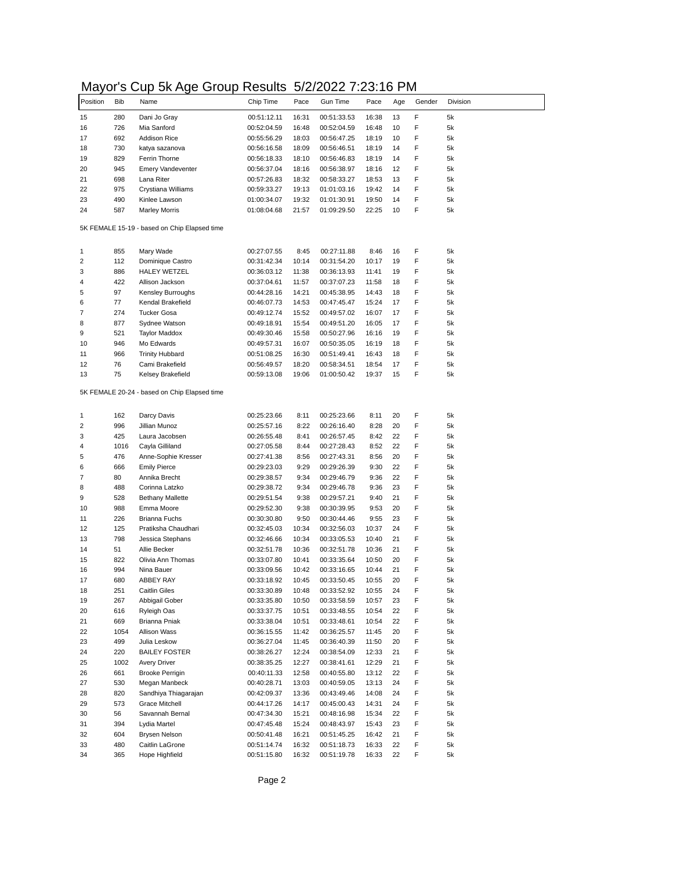## Mayor's Cup 5k Age Group Results 5/2/2022 7:23:16 PM

|          |            | .                                            |             |       |             |       |     |        |          |
|----------|------------|----------------------------------------------|-------------|-------|-------------|-------|-----|--------|----------|
| Position | <b>Bib</b> | Name                                         | Chip Time   | Pace  | Gun Time    | Pace  | Age | Gender | Division |
|          | 280        |                                              |             |       |             |       | 13  | F      | 5k       |
| 15       |            | Dani Jo Gray                                 | 00:51:12.11 | 16:31 | 00:51:33.53 | 16:38 |     | F      |          |
| 16       | 726        | Mia Sanford                                  | 00:52:04.59 | 16:48 | 00:52:04.59 | 16:48 | 10  |        | 5k       |
| 17       | 692        | <b>Addison Rice</b>                          | 00:55:56.29 | 18:03 | 00:56:47.25 | 18:19 | 10  | F      | 5k       |
| 18       | 730        | katya sazanova                               | 00:56:16.58 | 18:09 | 00:56:46.51 | 18:19 | 14  | F      | 5k       |
| 19       | 829        | Ferrin Thorne                                | 00:56:18.33 | 18:10 | 00:56:46.83 | 18:19 | 14  | F      | 5k       |
| 20       | 945        | <b>Emery Vandeventer</b>                     | 00:56:37.04 | 18:16 | 00:56:38.97 | 18:16 | 12  | F      | 5k       |
| 21       | 698        | Lana Riter                                   | 00:57:26.83 | 18:32 | 00:58:33.27 | 18:53 | 13  | F      | 5k       |
| 22       | 975        | Crystiana Williams                           | 00:59:33.27 | 19:13 | 01:01:03.16 | 19:42 | 14  | F      | 5k       |
| 23       | 490        | Kinlee Lawson                                | 01:00:34.07 | 19:32 | 01:01:30.91 | 19:50 | 14  | F      | 5k       |
| 24       | 587        | <b>Marley Morris</b>                         | 01:08:04.68 | 21:57 | 01:09:29.50 | 22:25 | 10  | F      | 5k       |
|          |            | 5K FEMALE 15-19 - based on Chip Elapsed time |             |       |             |       |     |        |          |
| 1        | 855        | Mary Wade                                    | 00:27:07.55 | 8:45  | 00:27:11.88 | 8:46  | 16  | F      | 5k       |
| 2        | 112        | Dominique Castro                             | 00:31:42.34 | 10:14 | 00:31:54.20 | 10:17 | 19  | F      | 5k       |
| 3        | 886        | <b>HALEY WETZEL</b>                          | 00:36:03.12 | 11:38 | 00:36:13.93 | 11:41 | 19  | F      | 5k       |
| 4        | 422        | Allison Jackson                              | 00:37:04.61 | 11:57 | 00:37:07.23 | 11:58 | 18  | F      | 5k       |
| 5        | 97         | Kensley Burroughs                            | 00:44:28.16 | 14:21 | 00:45:38.95 | 14:43 | 18  | F      | 5k       |
| 6        | 77         | Kendal Brakefield                            | 00:46:07.73 | 14:53 | 00:47:45.47 | 15:24 | 17  | F      | 5k       |
| 7        | 274        | <b>Tucker Gosa</b>                           | 00:49:12.74 | 15:52 | 00:49:57.02 | 16:07 | 17  | F      | 5k       |
| 8        | 877        | Sydnee Watson                                | 00:49:18.91 | 15:54 | 00:49:51.20 | 16:05 | 17  | F      | 5k       |
| 9        | 521        | <b>Taylor Maddox</b>                         | 00:49:30.46 | 15:58 | 00:50:27.96 | 16:16 | 19  | F      | 5k       |
| 10       | 946        | Mo Edwards                                   | 00:49:57.31 | 16:07 | 00:50:35.05 | 16:19 | 18  | F      | 5k       |
| 11       | 966        | <b>Trinity Hubbard</b>                       | 00:51:08.25 | 16:30 | 00:51:49.41 | 16:43 | 18  | F      | 5k       |
| 12       | 76         | Cami Brakefield                              | 00:56:49.57 | 18:20 | 00:58:34.51 | 18:54 | 17  | F      | 5k       |
| 13       | 75         | Kelsey Brakefield                            | 00:59:13.08 | 19:06 | 01:00:50.42 | 19:37 | 15  | F      | 5k       |
|          |            |                                              |             |       |             |       |     |        |          |
|          |            | 5K FEMALE 20-24 - based on Chip Elapsed time |             |       |             |       |     |        |          |
| 1        | 162        | Darcy Davis                                  | 00:25:23.66 | 8:11  | 00:25:23.66 | 8:11  | 20  | F      | 5k       |
| 2        | 996        | Jillian Munoz                                | 00:25:57.16 | 8:22  | 00:26:16.40 | 8:28  | 20  | F      | 5k       |
| 3        | 425        | Laura Jacobsen                               | 00:26:55.48 | 8:41  | 00:26:57.45 | 8:42  | 22  | F      | 5k       |
| 4        | 1016       | Cayla Gilliland                              | 00:27:05.58 | 8:44  | 00:27:28.43 | 8:52  | 22  | F      | 5k       |
| 5        | 476        | Anne-Sophie Kresser                          | 00:27:41.38 | 8:56  | 00:27:43.31 | 8:56  | 20  | F      | 5k       |
| 6        | 666        | <b>Emily Pierce</b>                          | 00:29:23.03 | 9:29  | 00:29:26.39 | 9:30  | 22  | F      | 5k       |
| 7        | 80         | Annika Brecht                                | 00:29:38.57 | 9:34  | 00:29:46.79 | 9:36  | 22  | F      | 5k       |
| 8        | 488        | Corinna Latzko                               | 00:29:38.72 | 9:34  | 00:29:46.78 | 9:36  | 23  | F      | 5k       |
| 9        | 528        | <b>Bethany Mallette</b>                      | 00:29:51.54 | 9:38  | 00:29:57.21 | 9:40  | 21  | F      | 5k       |
| 10       | 988        | Emma Moore                                   | 00:29:52.30 | 9:38  | 00:30:39.95 | 9:53  | 20  | F      | 5k       |
| 11       | 226        | <b>Brianna Fuchs</b>                         | 00:30:30.80 | 9:50  | 00:30:44.46 | 9:55  | 23  | F      | 5k       |
| 12       | 125        | Pratiksha Chaudhari                          | 00:32:45.03 | 10:34 | 00:32:56.03 | 10:37 | 24  | F      | 5k       |
| 13       | 798        | Jessica Stephans                             | 00:32:46.66 | 10:34 | 00:33:05.53 | 10:40 | 21  | F      | 5k       |
| 14       | 51         | Allie Becker                                 | 00:32:51.78 | 10:36 | 00:32:51.78 | 10:36 | 21  | F      | 5k       |
| 15       | 822        | Olivia Ann Thomas                            | 00:33:07.80 | 10:41 | 00:33:35.64 | 10:50 | 20  | F      | 5k       |
| 16       | 994        | Nina Bauer                                   | 00:33:09.56 | 10:42 | 00:33:16.65 | 10:44 | 21  | F      | 5k       |
| 17       | 680        | ABBEY RAY                                    | 00:33:18.92 | 10:45 | 00:33:50.45 | 10:55 | 20  | F      | 5k       |
|          |            |                                              |             |       |             |       |     | F      |          |
| 18       | 251        | <b>Caitlin Giles</b>                         | 00:33:30.89 | 10:48 | 00:33:52.92 | 10:55 | 24  |        | 5k       |
| 19       | 267        | Abbigail Gober                               | 00:33:35.80 | 10:50 | 00:33:58.59 | 10:57 | 23  | F      | 5k       |
| 20       | 616        | Ryleigh Oas                                  | 00:33:37.75 | 10:51 | 00:33:48.55 | 10:54 | 22  | F      | 5k       |
| 21       | 669        | Brianna Pniak                                | 00:33:38.04 | 10:51 | 00:33:48.61 | 10:54 | 22  | F      | 5k       |
| 22       | 1054       | Allison Wass                                 | 00:36:15.55 | 11:42 | 00:36:25.57 | 11:45 | 20  | F      | 5k       |
| 23       | 499        | Julia Leskow                                 | 00:36:27.04 | 11:45 | 00:36:40.39 | 11:50 | 20  | F      | 5k       |
| 24       | 220        | <b>BAILEY FOSTER</b>                         | 00:38:26.27 | 12:24 | 00:38:54.09 | 12:33 | 21  | F      | 5k       |
| 25       | 1002       | Avery Driver                                 | 00:38:35.25 | 12:27 | 00:38:41.61 | 12:29 | 21  | F      | 5k       |
| 26       | 661        | <b>Brooke Perrigin</b>                       | 00:40:11.33 | 12:58 | 00:40:55.80 | 13:12 | 22  | F      | 5k       |
| 27       | 530        | Megan Manbeck                                | 00:40:28.71 | 13:03 | 00:40:59.05 | 13:13 | 24  | F      | 5k       |
| 28       | 820        | Sandhiya Thiagarajan                         | 00:42:09.37 | 13:36 | 00:43:49.46 | 14:08 | 24  | F      | 5k       |
| 29       | 573        | <b>Grace Mitchell</b>                        | 00:44:17.26 | 14:17 | 00:45:00.43 | 14:31 | 24  | F      | 5k       |
| 30       | 56         | Savannah Bernal                              | 00:47:34.30 | 15:21 | 00:48:16.98 | 15:34 | 22  | F      | 5k       |
| 31       | 394        | Lydia Martel                                 | 00:47:45.48 | 15:24 | 00:48:43.97 | 15:43 | 23  | F      | 5k       |
| 32       | 604        | <b>Brysen Nelson</b>                         | 00:50:41.48 | 16:21 | 00:51:45.25 | 16:42 | 21  | F      | 5k       |
| 33       | 480        | Caitlin LaGrone                              | 00:51:14.74 | 16:32 | 00:51:18.73 | 16:33 | 22  | F      | 5k       |
| 34       | 365        | Hope Highfield                               | 00:51:15.80 | 16:32 | 00:51:19.78 | 16:33 | 22  | F      | 5k       |
|          |            |                                              |             |       |             |       |     |        |          |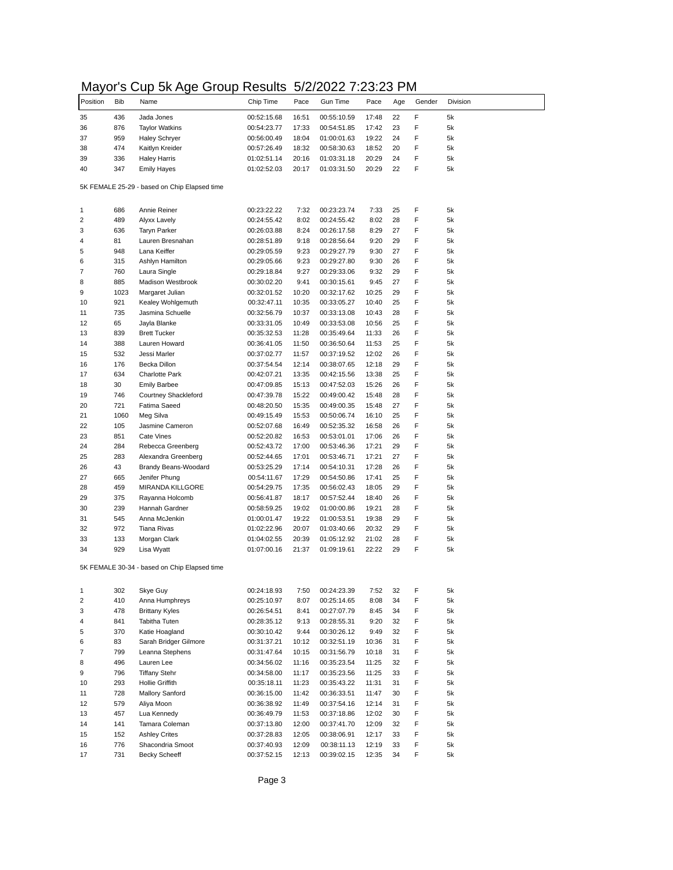## Mayor's Cup 5k Age Group Results 5/2/2022 7:23:23 PM

| . c. y<br>Position | Bib  | טי יי<br>Name                                | Chip Time   | Pace  | <b>Gun Time</b> | Pace  | Age | Gender | Division |
|--------------------|------|----------------------------------------------|-------------|-------|-----------------|-------|-----|--------|----------|
| 35                 | 436  | Jada Jones                                   | 00:52:15.68 | 16:51 | 00:55:10.59     | 17:48 | 22  | F      | 5k       |
| 36                 | 876  | <b>Taylor Watkins</b>                        | 00:54:23.77 | 17:33 | 00:54:51.85     | 17:42 | 23  | F      | 5k       |
|                    | 959  | Haley Schryer                                | 00:56:00.49 | 18:04 | 01:00:01.63     | 19:22 | 24  | F      | 5k       |
|                    | 474  | Kaitlyn Kreider                              | 00:57:26.49 | 18:32 | 00:58:30.63     | 18:52 | 20  | F      | 5k       |
| 38<br>39           | 336  | <b>Haley Harris</b>                          | 01:02:51.14 | 20:16 | 01:03:31.18     | 20:29 | 24  | F      | 5k       |
| 40                 | 347  | <b>Emily Hayes</b>                           | 01:02:52.03 | 20:17 | 01:03:31.50     | 20:29 | 22  | F      | 5k       |
|                    |      |                                              |             |       |                 |       |     |        |          |
|                    |      | 5K FEMALE 25-29 - based on Chip Elapsed time |             |       |                 |       |     |        |          |
|                    | 686  | Annie Reiner                                 | 00:23:22.22 | 7:32  | 00:23:23.74     | 7:33  | 25  | F      | 5k       |
|                    | 489  | Alyxx Lavely                                 | 00:24:55.42 | 8:02  | 00:24:55.42     | 8:02  | 28  | F      | 5k       |
|                    | 636  | <b>Taryn Parker</b>                          | 00:26:03.88 | 8:24  | 00:26:17.58     | 8:29  | 27  | F      | 5k       |
|                    | 81   | Lauren Bresnahan                             | 00:28:51.89 | 9:18  | 00:28:56.64     | 9:20  | 29  | F      | 5k       |
|                    | 948  | Lana Keiffer                                 | 00:29:05.59 | 9:23  | 00:29:27.79     | 9:30  | 27  | F      | 5k       |
|                    | 315  | Ashlyn Hamilton                              | 00:29:05.66 | 9:23  | 00:29:27.80     | 9:30  | 26  | F      | 5k       |
|                    | 760  | Laura Single                                 | 00:29:18.84 | 9:27  | 00:29:33.06     | 9:32  | 29  | F      | 5k       |
|                    | 885  | Madison Westbrook                            | 00:30:02.20 | 9:41  | 00:30:15.61     | 9:45  | 27  | F      | 5k       |
|                    | 1023 | Margaret Julian                              | 00:32:01.52 | 10:20 | 00:32:17.62     | 10:25 | 29  | F      | 5k       |
| 10                 | 921  | Kealey Wohlgemuth                            | 00:32:47.11 | 10:35 | 00:33:05.27     | 10:40 | 25  | F      | 5k       |
|                    | 735  | Jasmina Schuelle                             | 00:32:56.79 | 10:37 | 00:33:13.08     | 10:43 | 28  | F      | 5k       |
| 11<br>12           | 65   | Jayla Blanke                                 | 00:33:31.05 | 10:49 | 00:33:53.08     | 10:56 | 25  | F      | 5k       |
| 13                 | 839  | <b>Brett Tucker</b>                          | 00:35:32.53 | 11:28 | 00:35:49.64     | 11:33 | 26  | F      | 5k       |
|                    |      |                                              |             |       |                 | 11:53 | 25  | F      | 5k       |
| 14<br>15           | 388  | Lauren Howard                                | 00:36:41.05 | 11:50 | 00:36:50.64     |       |     | F      |          |
|                    | 532  | Jessi Marler                                 | 00:37:02.77 | 11:57 | 00:37:19.52     | 12:02 | 26  |        | 5k       |
| 16                 | 176  | Becka Dillon                                 | 00:37:54.54 | 12:14 | 00:38:07.65     | 12:18 | 29  | F      | 5k       |
| 17<br>18           | 634  | <b>Charlotte Park</b>                        | 00:42:07.21 | 13:35 | 00:42:15.56     | 13:38 | 25  | F      | 5k       |
|                    | 30   | <b>Emily Barbee</b>                          | 00:47:09.85 | 15:13 | 00:47:52.03     | 15:26 | 26  | F      | 5k       |
|                    | 746  | Courtney Shackleford                         | 00:47:39.78 | 15:22 | 00:49:00.42     | 15:48 | 28  | F      | 5k       |
| 20                 | 721  | Fatima Saeed                                 | 00:48:20.50 | 15:35 | 00:49:00.35     | 15:48 | 27  | F      | 5k       |
| 21                 | 1060 | Meg Silva                                    | 00:49:15.49 | 15:53 | 00:50:06.74     | 16:10 | 25  | F      | 5k       |
| 22                 | 105  | Jasmine Cameron                              | 00:52:07.68 | 16:49 | 00:52:35.32     | 16:58 | 26  | F      | 5k       |
| 23                 | 851  | <b>Cate Vines</b>                            | 00:52:20.82 | 16:53 | 00:53:01.01     | 17:06 | 26  | F      | 5k       |
|                    | 284  | Rebecca Greenberg                            | 00:52:43.72 | 17:00 | 00:53:46.36     | 17:21 | 29  | F      | 5k       |
| 25                 | 283  | Alexandra Greenberg                          | 00:52:44.65 | 17:01 | 00:53:46.71     | 17:21 | 27  | F      | 5k       |
| 26                 | 43   | Brandy Beans-Woodard                         | 00:53:25.29 | 17:14 | 00:54:10.31     | 17:28 | 26  | F      | 5k       |
| 27                 | 665  | Jenifer Phung                                | 00:54:11.67 | 17:29 | 00:54:50.86     | 17:41 | 25  | F      | 5k       |
| 28                 | 459  | <b>MIRANDA KILLGORE</b>                      | 00:54:29.75 | 17:35 | 00:56:02.43     | 18:05 | 29  | F      | 5k       |
| 29                 | 375  | Rayanna Holcomb                              | 00:56:41.87 | 18:17 | 00:57:52.44     | 18:40 | 26  | F      | 5k       |
| 30                 | 239  | Hannah Gardner                               | 00:58:59.25 | 19:02 | 01:00:00.86     | 19:21 | 28  | F      | 5k       |
| 31                 | 545  | Anna McJenkin                                | 01:00:01.47 | 19:22 | 01:00:53.51     | 19:38 | 29  | F      | 5k       |
| 32                 | 972  | <b>Tiana Rivas</b>                           | 01:02:22.96 | 20:07 | 01:03:40.66     | 20:32 | 29  | F      | 5k       |
| 33                 | 133  | Morgan Clark                                 | 01:04:02.55 | 20:39 | 01:05:12.92     | 21:02 | 28  | F      | 5k       |
| 34                 | 929  | Lisa Wyatt                                   | 01:07:00.16 | 21:37 | 01:09:19.61     | 22:22 | 29  | F      | 5k       |
|                    |      | 5K FEMALE 30-34 - based on Chip Elapsed time |             |       |                 |       |     |        |          |
|                    |      |                                              |             |       |                 |       |     |        |          |
| 2                  | 302  | Skye Guy                                     | 00:24:18.93 | 7:50  | 00:24:23.39     | 7:52  | 32  | F      | 5k       |
|                    | 410  | Anna Humphreys                               | 00:25:10.97 | 8:07  | 00:25:14.65     | 8:08  | 34  | F      | 5k       |
|                    | 478  | <b>Brittany Kyles</b>                        | 00:26:54.51 | 8:41  | 00:27:07.79     | 8:45  | 34  | F      | 5k       |
|                    | 841  | Tabitha Tuten                                | 00:28:35.12 | 9:13  | 00:28:55.31     | 9:20  | 32  | F      | 5k       |
|                    | 370  | Katie Hoagland                               | 00:30:10.42 | 9:44  | 00:30:26.12     | 9:49  | 32  | F      | 5k       |
|                    | 83   | Sarah Bridger Gilmore                        | 00:31:37.21 | 10:12 | 00:32:51.19     | 10:36 | 31  | F      | 5k       |
|                    | 799  | Leanna Stephens                              | 00:31:47.64 | 10:15 | 00:31:56.79     | 10:18 | 31  | F      | 5k       |
|                    | 496  | Lauren Lee                                   | 00:34:56.02 | 11:16 | 00:35:23.54     | 11:25 | 32  | F      | 5k       |
|                    | 796  | <b>Tiffany Stehr</b>                         | 00:34:58.00 | 11:17 | 00:35:23.56     | 11:25 | 33  | F      | 5k       |
| 10                 | 293  | Hollie Griffith                              | 00:35:18.11 | 11:23 | 00:35:43.22     | 11:31 | 31  | F      | 5k       |
| 11                 | 728  | <b>Mallory Sanford</b>                       | 00:36:15.00 | 11:42 | 00:36:33.51     | 11:47 | 30  | F      | 5k       |
| 12                 | 579  | Aliya Moon                                   | 00:36:38.92 | 11:49 | 00:37:54.16     | 12:14 | 31  | F      | 5k       |
| 13                 | 457  | Lua Kennedy                                  | 00:36:49.79 | 11:53 | 00:37:18.86     | 12:02 | 30  | F      | 5k       |
| 14                 | 141  | Tamara Coleman                               | 00:37:13.80 | 12:00 | 00:37:41.70     | 12:09 | 32  | F      | 5k       |
| 15                 | 152  | <b>Ashley Crites</b>                         | 00:37:28.83 | 12:05 | 00:38:06.91     | 12:17 | 33  | F      | 5k       |
| 16                 | 776  | Shacondria Smoot                             |             |       |                 |       | 33  | F      | 5k       |
|                    |      |                                              | 00:37:40.93 | 12:09 | 00:38:11.13     | 12:19 |     |        |          |
| 17                 | 731  | <b>Becky Scheeff</b>                         | 00:37:52.15 | 12:13 | 00:39:02.15     | 12:35 | 34  | F      | 5k       |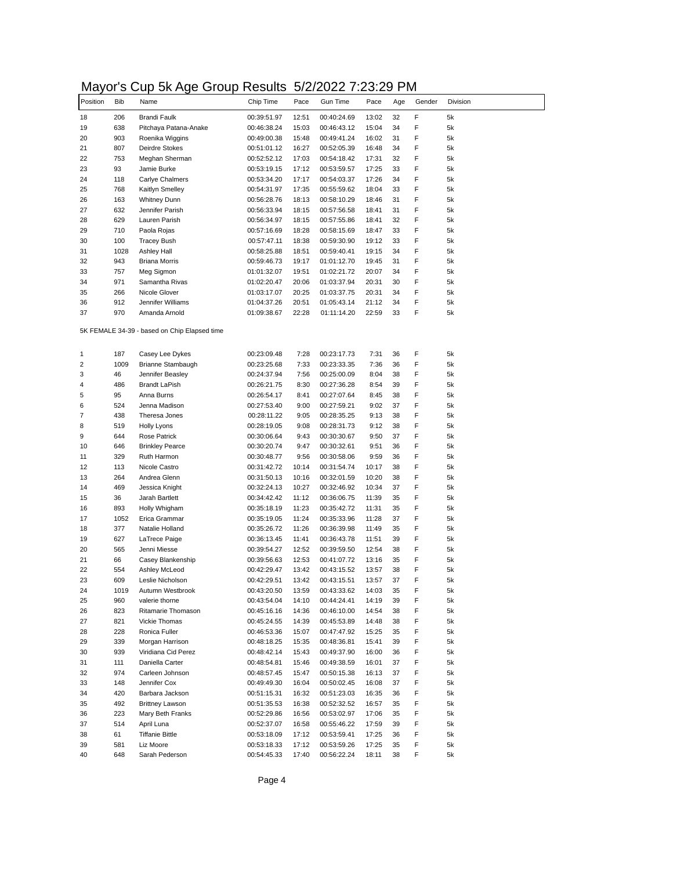## Mayor's Cup 5k Age Group Results 5/2/2022 7:23:29 PM

| . c. y   |            | אי ייט<br>ン・マロド                              | .                          |       | 01 LI LULL 1 .LU.LU        |       |     |        |          |
|----------|------------|----------------------------------------------|----------------------------|-------|----------------------------|-------|-----|--------|----------|
| Position | <b>Bib</b> | Name                                         | Chip Time                  | Pace  | Gun Time                   | Pace  | Age | Gender | Division |
| 18       | 206        | Brandi Faulk                                 | 00:39:51.97                | 12:51 | 00:40:24.69                | 13:02 | 32  | F      | 5k       |
|          | 638        | Pitchaya Patana-Anake                        | 00:46:38.24                | 15:03 | 00:46:43.12                | 15:04 | 34  | F      | 5k       |
|          | 903        | Roenika Wiggins                              | 00:49:00.38                | 15:48 | 00:49:41.24                | 16:02 | 31  | F      | 5k       |
|          | 807        | Deirdre Stokes                               | 00:51:01.12                | 16:27 | 00:52:05.39                | 16:48 | 34  | F      | 5k       |
|          | 753        | Meghan Sherman                               | 00:52:52.12                | 17:03 | 00:54:18.42                | 17:31 | 32  | F      | 5k       |
|          | 93         | Jamie Burke                                  | 00:53:19.15                | 17:12 | 00:53:59.57                | 17:25 | 33  | F      | 5k       |
|          | 118        | Carlye Chalmers                              | 00:53:34.20                | 17:17 | 00:54:03.37                | 17:26 | 34  | F      | 5k       |
|          | 768        | Kaitlyn Smelley                              | 00:54:31.97                | 17:35 | 00:55:59.62                | 18:04 | 33  | F      | 5k       |
|          | 163        | <b>Whitney Dunn</b>                          | 00:56:28.76                | 18:13 | 00:58:10.29                | 18:46 | 31  | F      | 5k       |
|          | 632        | Jennifer Parish                              | 00:56:33.94                | 18:15 | 00:57:56.58                | 18:41 | 31  | F      | 5k       |
|          | 629        | Lauren Parish                                | 00:56:34.97                | 18:15 | 00:57:55.86                | 18:41 | 32  | F      | 5k       |
|          | 710        | Paola Rojas                                  | 00:57:16.69                | 18:28 | 00:58:15.69                | 18:47 | 33  | F      | 5k       |
|          | 100        | <b>Tracey Bush</b>                           | 00:57:47.11                | 18:38 | 00:59:30.90                | 19:12 | 33  | F      | 5k       |
|          | 1028       | <b>Ashley Hall</b>                           | 00:58:25.88                | 18:51 | 00:59:40.41                | 19:15 | 34  | F      | 5k       |
|          | 943        | <b>Briana Morris</b>                         | 00:59:46.73                | 19:17 | 01:01:12.70                | 19:45 | 31  | F      | 5k       |
|          | 757        | Meg Sigmon                                   | 01:01:32.07                | 19:51 | 01:02:21.72                | 20:07 | 34  | F      | 5k       |
|          | 971        | Samantha Rivas                               | 01:02:20.47                | 20:06 | 01:03:37.94                | 20:31 | 30  | F      | 5k       |
|          | 266        | Nicole Glover                                | 01:03:17.07                | 20:25 | 01:03:37.75                | 20:31 | 34  | F      | 5k       |
|          | 912        | Jennifer Williams                            | 01:04:37.26                | 20:51 | 01:05:43.14                | 21:12 | 34  | F      | 5k       |
|          | 970        | Amanda Arnold                                | 01:09:38.67                | 22:28 | 01:11:14.20                | 22:59 | 33  | F      | 5k       |
|          |            | 5K FEMALE 34-39 - based on Chip Elapsed time |                            |       |                            |       |     |        |          |
|          | 187        | Casey Lee Dykes                              |                            | 7:28  |                            | 7:31  | 36  | F      | 5k       |
|          | 1009       | Brianne Stambaugh                            | 00:23:09.48<br>00:23:25.68 | 7:33  | 00:23:17.73<br>00:23:33.35 | 7:36  | 36  | F      | 5k       |
|          | 46         | Jennifer Beasley                             | 00:24:37.94                | 7:56  |                            | 8:04  | 38  | F      | 5k       |
|          | 486        | <b>Brandt LaPish</b>                         | 00:26:21.75                | 8:30  | 00:25:00.09<br>00:27:36.28 | 8:54  | 39  | F      | 5k       |
|          | 95         | Anna Burns                                   | 00:26:54.17                | 8:41  | 00:27:07.64                | 8:45  | 38  | F      | 5k       |
|          | 524        | Jenna Madison                                | 00:27:53.40                | 9:00  | 00:27:59.21                | 9:02  | 37  | F      | 5k       |
|          | 438        | Theresa Jones                                | 00:28:11.22                | 9:05  | 00:28:35.25                | 9:13  | 38  | F      | 5k       |
|          | 519        | <b>Holly Lyons</b>                           | 00:28:19.05                | 9:08  | 00:28:31.73                | 9:12  | 38  | F      | 5k       |
|          | 644        | Rose Patrick                                 | 00:30:06.64                | 9:43  | 00:30:30.67                | 9:50  | 37  | F      | 5k       |
|          | 646        | <b>Brinkley Pearce</b>                       | 00:30:20.74                | 9:47  | 00:30:32.61                | 9:51  | 36  | F      | 5k       |
|          | 329        | Ruth Harmon                                  | 00:30:48.77                | 9:56  | 00:30:58.06                | 9:59  | 36  | F      | 5k       |
|          | 113        | Nicole Castro                                | 00:31:42.72                | 10:14 | 00:31:54.74                | 10:17 | 38  | F      | 5k       |
|          | 264        | Andrea Glenn                                 | 00:31:50.13                | 10:16 | 00:32:01.59                | 10:20 | 38  | F      | 5k       |
|          | 469        | Jessica Knight                               | 00:32:24.13                | 10:27 | 00:32:46.92                | 10:34 | 37  | F      | 5k       |
|          | 36         | Jarah Bartlett                               | 00:34:42.42                | 11:12 | 00:36:06.75                | 11:39 | 35  | F      | 5k       |
|          | 893        | Holly Whigham                                | 00:35:18.19                | 11:23 | 00:35:42.72                | 11:31 | 35  | F      | 5k       |
|          | 1052       | Erica Grammar                                | 00:35:19.05                | 11:24 | 00:35:33.96                | 11:28 | 37  | F      | 5k       |
|          | 377        | Natalie Holland                              | 00:35:26.72                | 11:26 | 00:36:39.98                | 11:49 | 35  | F      | 5k       |
|          | 627        | LaTrece Paige                                | 00:36:13.45                | 11:41 | 00:36:43.78                | 11:51 | 39  | F      | 5k       |
|          | 565        | Jenni Miesse                                 | 00:39:54.27                | 12:52 | 00:39:59.50                | 12:54 | 38  | F      | 5k       |
|          | 66         | Casey Blankenship                            | 00:39:56.63                | 12:53 | 00:41:07.72                | 13:16 | 35  | F      | 5k       |
|          | 554        | Ashley McLeod                                | 00:42:29.47                | 13:42 | 00:43:15.52                | 13:57 | 38  | F      | 5k       |
|          | 609        | Leslie Nicholson                             | 00:42:29.51                | 13:42 | 00:43:15.51                | 13:57 | 37  | F      | 5k       |
|          | 1019       | Autumn Westbrook                             | 00:43:20.50                | 13:59 | 00:43:33.62                | 14:03 | 35  | F      | 5k       |
|          | 960        | valerie thorne                               | 00:43:54.04                | 14:10 | 00:44:24.41                | 14:19 | 39  | F      | 5k       |
|          | 823        | Ritamarie Thomason                           | 00:45:16.16                | 14:36 | 00:46:10.00                | 14:54 | 38  | F      | 5k       |
|          | 821        | <b>Vickie Thomas</b>                         | 00:45:24.55                | 14:39 | 00:45:53.89                | 14:48 | 38  | F      | 5k       |
|          | 228        | Ronica Fuller                                | 00:46:53.36                | 15:07 | 00:47:47.92                | 15:25 | 35  | F      | 5k       |
|          | 339        | Morgan Harrison                              | 00:48:18.25                | 15:35 | 00:48:36.81                | 15:41 | 39  | F      | 5k       |
|          | 939        | Viridiana Cid Perez                          | 00:48:42.14                | 15:43 | 00:49:37.90                | 16:00 | 36  | F      | 5k       |
|          | 111        | Daniella Carter                              | 00:48:54.81                | 15:46 | 00:49:38.59                | 16:01 | 37  | F      | 5k       |
|          | 974        | Carleen Johnson                              | 00:48:57.45                | 15:47 | 00:50:15.38                | 16:13 | 37  | F      | 5k       |
|          | 148        | Jennifer Cox                                 | 00:49:49.30                | 16:04 | 00:50:02.45                | 16:08 | 37  | F      | 5k       |
|          | 420        | Barbara Jackson                              | 00:51:15.31                | 16:32 | 00:51:23.03                | 16:35 | 36  | F      | 5k       |
|          | 492        | <b>Brittney Lawson</b>                       | 00:51:35.53                | 16:38 | 00:52:32.52                | 16:57 | 35  | F      | 5k       |
|          | 223        | Mary Beth Franks                             | 00:52:29.86                | 16:56 | 00:53:02.97                | 17:06 | 35  | F      | 5k       |
|          | 514        | April Luna                                   | 00:52:37.07                | 16:58 | 00:55:46.22                | 17:59 | 39  | F      | 5k       |
|          | 61         | <b>Tiffanie Bittle</b>                       | 00:53:18.09                | 17:12 | 00:53:59.41                | 17:25 | 36  | F      | 5k       |
|          | 581        | Liz Moore                                    | 00:53:18.33                | 17:12 | 00:53:59.26                | 17:25 | 35  | F      | 5k       |
|          | 648        | Sarah Pederson                               | 00:54:45.33                | 17:40 | 00:56:22.24                | 18:11 | 38  | F      | 5k       |
|          |            |                                              |                            |       |                            |       |     |        |          |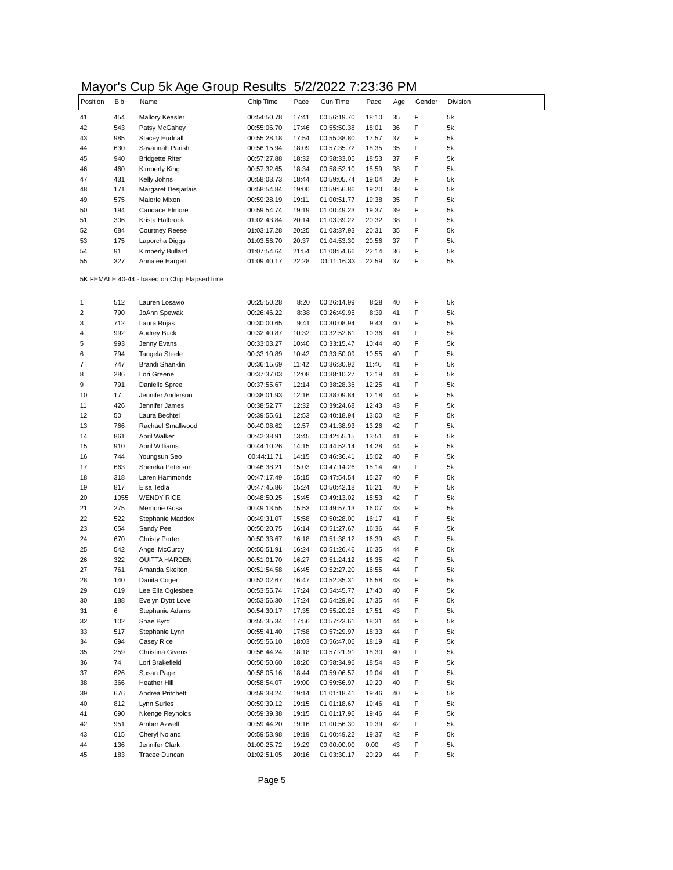## Mayor's Cup 5k Age Group Results 5/2/2022 7:23:36 PM

| .        |            | אי ייט                                       | ン・マロレ<br>,,,,,,,,,,, |       | 01 LI LULL 1 .LU.UU |       |     |        |          |
|----------|------------|----------------------------------------------|----------------------|-------|---------------------|-------|-----|--------|----------|
| Position | <b>Bib</b> | Name                                         | Chip Time            | Pace  | <b>Gun Time</b>     | Pace  | Age | Gender | Division |
| 41       | 454        | <b>Mallory Keasler</b>                       | 00:54:50.78          | 17:41 | 00:56:19.70         | 18:10 | 35  | F      | 5k       |
| 42       | 543        | Patsy McGahey                                | 00:55:06.70          | 17:46 | 00:55:50.38         | 18:01 | 36  | F      | 5k       |
| 43       | 985        | <b>Stacey Hudnall</b>                        | 00:55:28.18          | 17:54 | 00:55:38.80         | 17:57 | 37  | F      | 5k       |
| 44       | 630        | Savannah Parish                              | 00:56:15.94          | 18:09 | 00:57:35.72         | 18:35 | 35  | F      | 5k       |
| 45       | 940        | <b>Bridgette Riter</b>                       | 00:57:27.88          | 18:32 | 00:58:33.05         | 18:53 | 37  | F      | 5k       |
| 46       | 460        | Kimberly King                                | 00:57:32.65          | 18:34 | 00:58:52.10         | 18:59 | 38  | F      | 5k       |
| 47       |            |                                              |                      | 18:44 |                     |       | 39  | F      | 5k       |
|          | 431        | Kelly Johns                                  | 00:58:03.73          |       | 00:59:05.74         | 19:04 |     |        |          |
| 48       | 171        | Margaret Desjarlais                          | 00:58:54.84          | 19:00 | 00:59:56.86         | 19:20 | 38  | F      | 5k       |
| 49       | 575        | Malorie Mixon                                | 00:59:28.19          | 19:11 | 01:00:51.77         | 19:38 | 35  | F      | 5k       |
| 50       | 194        | Candace Elmore                               | 00:59:54.74          | 19:19 | 01:00:49.23         | 19:37 | 39  | F      | 5k       |
| 51       | 306        | Krista Halbrook                              | 01:02:43.84          | 20:14 | 01:03:39.22         | 20:32 | 38  | F      | 5k       |
| 52       | 684        | <b>Courtney Reese</b>                        | 01:03:17.28          | 20:25 | 01:03:37.93         | 20:31 | 35  | F      | 5k       |
| 53       | 175        | Laporcha Diggs                               | 01:03:56.70          | 20:37 | 01:04:53.30         | 20:56 | 37  | F      | 5k       |
| 54       | 91         | Kimberly Bullard                             | 01:07:54.64          | 21:54 | 01:08:54.66         | 22:14 | 36  | F      | 5k       |
| 55       | 327        | Annalee Hargett                              | 01:09:40.17          | 22:28 | 01:11:16.33         | 22:59 | 37  | F      | 5k       |
|          |            | 5K FEMALE 40-44 - based on Chip Elapsed time |                      |       |                     |       |     |        |          |
|          | 512        | Lauren Losavio                               | 00:25:50.28          | 8:20  | 00:26:14.99         | 8:28  | 40  | F      | 5k       |
|          | 790        | JoAnn Spewak                                 | 00:26:46.22          | 8:38  | 00:26:49.95         | 8:39  | 41  | F      | 5k       |
|          | 712        | Laura Rojas                                  | 00:30:00.65          | 9:41  | 00:30:08.94         | 9:43  | 40  | F      | 5k       |
|          | 992        | <b>Audrey Buck</b>                           | 00:32:40.87          | 10:32 | 00:32:52.61         | 10:36 | 41  | F      | 5k       |
|          |            |                                              |                      |       |                     |       |     |        |          |
|          | 993        | Jenny Evans                                  | 00:33:03.27          | 10:40 | 00:33:15.47         | 10:44 | 40  | F      | 5k       |
|          | 794        | Tangela Steele                               | 00:33:10.89          | 10:42 | 00:33:50.09         | 10:55 | 40  | F      | 5k       |
|          | 747        | Brandi Shanklin                              | 00:36:15.69          | 11:42 | 00:36:30.92         | 11:46 | 41  | F      | 5k       |
|          | 286        | Lori Greene                                  | 00:37:37.03          | 12:08 | 00:38:10.27         | 12:19 | 41  | F      | 5k       |
|          | 791        | Danielle Spree                               | 00:37:55.67          | 12:14 | 00:38:28.36         | 12:25 | 41  | F      | 5k       |
| 10       | 17         | Jennifer Anderson                            | 00:38:01.93          | 12:16 | 00:38:09.84         | 12:18 | 44  | F      | 5k       |
| 11       | 426        | Jennifer James                               | 00:38:52.77          | 12:32 | 00:39:24.68         | 12:43 | 43  | F      | 5k       |
| 12       | 50         | Laura Bechtel                                | 00:39:55.61          | 12:53 | 00:40:18.94         | 13:00 | 42  | F      | 5k       |
| 13       | 766        | Rachael Smallwood                            | 00:40:08.62          | 12:57 | 00:41:38.93         | 13:26 | 42  | F      | 5k       |
| 14       | 861        | April Walker                                 | 00:42:38.91          | 13:45 | 00:42:55.15         | 13:51 | 41  | F      | 5k       |
| 15       | 910        | April Williams                               | 00:44:10.26          | 14:15 | 00:44:52.14         | 14:28 | 44  | F      | 5k       |
| 16       | 744        | Youngsun Seo                                 | 00:44:11.71          | 14:15 | 00:46:36.41         | 15:02 | 40  | F      | 5k       |
| 17       | 663        | Shereka Peterson                             | 00:46:38.21          | 15:03 | 00:47:14.26         | 15:14 | 40  | F      | 5k       |
| 18       | 318        | Laren Hammonds                               | 00:47:17.49          | 15:15 | 00:47:54.54         | 15:27 | 40  | F      | 5k       |
| 19       | 817        | Elsa Tedla                                   | 00:47:45.86          | 15:24 | 00:50:42.18         | 16:21 | 40  | F      | 5k       |
| 20       | 1055       | <b>WENDY RICE</b>                            | 00:48:50.25          | 15:45 | 00:49:13.02         | 15:53 | 42  | F      | 5k       |
| 21       | 275        | Memorie Gosa                                 | 00:49:13.55          | 15:53 | 00:49:57.13         | 16:07 | 43  | F      | 5k       |
| 22       | 522        | Stephanie Maddox                             | 00:49:31.07          | 15:58 | 00:50:28.00         | 16:17 | 41  | F      | 5k       |
| 23       | 654        | Sandy Peel                                   | 00:50:20.75          | 16:14 | 00:51:27.67         | 16:36 | 44  | F      | 5k       |
| 24       | 670        | <b>Christy Porter</b>                        | 00:50:33.67          | 16:18 | 00:51:38.12         | 16:39 | 43  | F      | 5k       |
| 25       |            |                                              |                      |       |                     |       | 44  | F      |          |
|          | 542        | Angel McCurdy<br><b>QUITTA HARDEN</b>        | 00:50:51.91          | 16:24 | 00:51:26.46         | 16:35 |     | F      | 5k       |
| 26       | 322        |                                              | 00:51:01.70          | 16:27 | 00:51:24.12         | 16:35 | 42  |        | 5k       |
| 27       | 761        | Amanda Skelton                               | 00:51:54.58          | 16:45 | 00:52:27.20         | 16:55 | 44  | F      | 5k       |
| 28       | 140        | Danita Coger                                 | 00:52:02.67          | 16:47 | 00:52:35.31         | 16:58 | 43  | F      | 5k       |
| 29       | 619        | Lee Ella Oglesbee                            | 00:53:55.74          | 17:24 | 00:54:45.77         | 17:40 | 40  | F      | 5k       |
| 30       | 188        | Evelyn Dytrt Love                            | 00:53:56.30          | 17:24 | 00:54:29.96         | 17:35 | 44  | F      | 5k       |
| 31       | 6          | Stephanie Adams                              | 00:54:30.17          | 17:35 | 00:55:20.25         | 17:51 | 43  | F      | 5k       |
| 32       | 102        | Shae Byrd                                    | 00:55:35.34          | 17:56 | 00:57:23.61         | 18:31 | 44  | F      | 5k       |
| 33       | 517        | Stephanie Lynn                               | 00:55:41.40          | 17:58 | 00:57:29.97         | 18:33 | 44  | F      | 5k       |
| 34       | 694        | Casey Rice                                   | 00:55:56.10          | 18:03 | 00:56:47.06         | 18:19 | 41  | F      | 5k       |
| 35       | 259        | Christina Givens                             | 00:56:44.24          | 18:18 | 00:57:21.91         | 18:30 | 40  | F      | 5k       |
| 36       | 74         | Lori Brakefield                              | 00:56:50.60          | 18:20 | 00:58:34.96         | 18:54 | 43  | F      | 5k       |
| 37       | 626        | Susan Page                                   | 00:58:05.16          | 18:44 | 00:59:06.57         | 19:04 | 41  | F      | 5k       |
| 38       | 366        | Heather Hill                                 | 00:58:54.07          | 19:00 | 00:59:56.97         | 19:20 | 40  | F      | 5k       |
| 39       | 676        | Andrea Pritchett                             | 00:59:38.24          | 19:14 | 01:01:18.41         | 19:46 | 40  | F      | 5k       |
| 40       | 812        | Lynn Surles                                  | 00:59:39.12          | 19:15 | 01:01:18.67         | 19:46 | 41  | F      | 5k       |
| 41       | 690        | Nkenge Reynolds                              | 00:59:39.38          | 19:15 | 01:01:17.96         | 19:46 | 44  | F      | 5k       |
| 42       | 951        | Amber Azwell                                 |                      |       |                     |       | 42  | F      | 5k       |
| 43       |            |                                              | 00:59:44.20          | 19:16 | 01:00:56.30         | 19:39 |     |        |          |
|          | 615        | Cheryl Noland                                | 00:59:53.98          | 19:19 | 01:00:49.22         | 19:37 | 42  | F      | 5k       |
| 44       | 136        | Jennifer Clark                               | 01:00:25.72          | 19:29 | 00:00:00.00         | 0.00  | 43  | F      | 5k       |
| 45       | 183        | Tracee Duncan                                | 01:02:51.05          | 20:16 | 01:03:30.17         | 20:29 | 44  | F      | 5k       |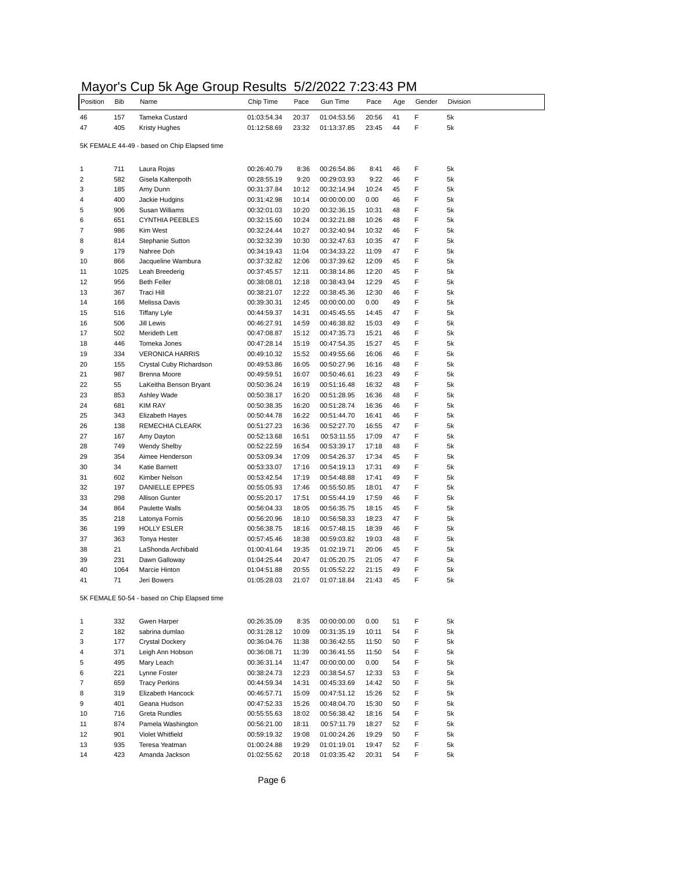## Mayor's Cup 5k Age Group Results 5/2/2022 7:23:43 PM

| Position | <b>Bib</b> | Name                                         | Chip Time                  | Pace           | <b>Gun Time</b>            | Pace           | Age      | Gender | Division |
|----------|------------|----------------------------------------------|----------------------------|----------------|----------------------------|----------------|----------|--------|----------|
| 46       | 157        | Tameka Custard                               | 01:03:54.34                | 20:37          | 01:04:53.56                | 20:56          | 41       | F      | 5k       |
| 47       | 405        | Kristy Hughes                                | 01:12:58.69                | 23:32          | 01:13:37.85                | 23:45          | 44       | F      | 5k       |
|          |            |                                              |                            |                |                            |                |          |        |          |
|          |            | 5K FEMALE 44-49 - based on Chip Elapsed time |                            |                |                            |                |          |        |          |
|          |            |                                              |                            |                |                            |                |          | F      |          |
| 1<br>2   | 711<br>582 | Laura Rojas<br>Gisela Kaltenpoth             | 00:26:40.79<br>00:28:55.19 | 8:36<br>9:20   | 00:26:54.86<br>00:29:03.93 | 8:41<br>9:22   | 46<br>46 | F      | 5k<br>5k |
| 3        | 185        | Amy Dunn                                     | 00:31:37.84                | 10:12          | 00:32:14.94                | 10:24          | 45       | F      | 5k       |
| 4        | 400        | Jackie Hudgins                               | 00:31:42.98                | 10:14          | 00:00:00.00                | 0.00           | 46       | F      | 5k       |
| 5        | 906        | Susan Williams                               | 00:32:01.03                | 10:20          | 00:32:36.15                | 10:31          | 48       | F      | 5k       |
| 6        | 651        | <b>CYNTHIA PEEBLES</b>                       | 00:32:15.60                | 10:24          | 00:32:21.88                | 10:26          | 48       | F      | 5k       |
| 7        | 986        | Kim West                                     | 00:32:24.44                | 10:27          | 00:32:40.94                | 10:32          | 46       | F      | 5k       |
| 8        | 814        | Stephanie Sutton                             | 00:32:32.39                | 10:30          | 00:32:47.63                | 10:35          | 47       | F      | 5k       |
| 9        | 179        | Nahree Doh                                   | 00:34:19.43                | 11:04          | 00:34:33.22                | 11:09          | 47       | F      | 5k       |
| 10       | 866        | Jacqueline Wambura                           | 00:37:32.82                | 12:06          | 00:37:39.62                | 12:09          | 45       | F      | 5k       |
| 11       | 1025       | Leah Breederig                               | 00:37:45.57                | 12:11          | 00:38:14.86                | 12:20          | 45       | F      | 5k       |
| 12       | 956        | <b>Beth Feller</b>                           | 00:38:08.01                | 12:18          | 00:38:43.94                | 12:29          | 45       | F      | 5k       |
| 13       | 367        | Traci Hill                                   | 00:38:21.07                | 12:22          | 00:38:45.36                | 12:30          | 46       | F      | 5k       |
| 14       | 166        | Melissa Davis                                | 00:39:30.31                | 12:45          | 00:00:00.00                | 0.00           | 49       | F      | 5k       |
| 15       | 516        | <b>Tiffany Lyle</b>                          | 00:44:59.37                | 14:31          | 00:45:45.55                | 14:45          | 47       | F      | 5k       |
| 16       | 506        | Jill Lewis                                   | 00:46:27.91                | 14:59          | 00:46:38.82                | 15:03          | 49       | F      | 5k       |
| 17       | 502        | Merideth Lett                                | 00:47:08.87                | 15:12          | 00:47:35.73                | 15:21          | 46       | F      | 5k       |
| 18       | 446        | Tomeka Jones                                 | 00:47:28.14                | 15:19          | 00:47:54.35                | 15:27          | 45       | F      | 5k       |
| 19       | 334        | <b>VERONICA HARRIS</b>                       | 00:49:10.32                | 15:52          | 00:49:55.66                | 16:06          | 46       | F      | 5k       |
| 20       | 155        | Crystal Cuby Richardson                      | 00:49:53.86                | 16:05          | 00:50:27.96                | 16:16          | 48       | F      | 5k       |
| 21       | 987        | Brenna Moore                                 | 00:49:59.51                | 16:07          | 00:50:46.61                | 16:23          | 49       | F      | 5k       |
| 22       | 55         | LaKeitha Benson Bryant                       | 00:50:36.24                | 16:19          | 00:51:16.48                | 16:32          | 48       | F      | 5k       |
| 23<br>24 | 853<br>681 | Ashley Wade                                  | 00:50:38.17                | 16:20          | 00:51:28.95<br>00:51:28.74 | 16:36          | 48       | F<br>F | 5k<br>5k |
| 25       | 343        | <b>KIM RAY</b><br><b>Elizabeth Hayes</b>     | 00:50:38.35<br>00:50:44.78 | 16:20<br>16:22 | 00:51:44.70                | 16:36<br>16:41 | 46<br>46 | F      | 5k       |
| 26       | 138        | REMECHIA CLEARK                              | 00:51:27.23                | 16:36          | 00:52:27.70                | 16:55          | 47       | F      | 5k       |
| 27       | 167        | Amy Dayton                                   | 00:52:13.68                | 16:51          | 00:53:11.55                | 17:09          | 47       | F      | 5k       |
| 28       | 749        | <b>Wendy Shelby</b>                          | 00:52:22.59                | 16:54          | 00:53:39.17                | 17:18          | 48       | F      | 5k       |
| 29       | 354        | Aimee Henderson                              | 00:53:09.34                | 17:09          | 00:54:26.37                | 17:34          | 45       | F      | 5k       |
| 30       | 34         | Katie Barnett                                | 00:53:33.07                | 17:16          | 00:54:19.13                | 17:31          | 49       | F      | 5k       |
| 31       | 602        | Kimber Nelson                                | 00:53:42.54                | 17:19          | 00:54:48.88                | 17:41          | 49       | F      | 5k       |
| 32       | 197        | DANIELLE EPPES                               | 00:55:05.93                | 17:46          | 00:55:50.85                | 18:01          | 47       | F      | 5k       |
| 33       | 298        | <b>Allison Gunter</b>                        | 00:55:20.17                | 17:51          | 00:55:44.19                | 17:59          | 46       | F      | 5k       |
| 34       | 864        | <b>Paulette Walls</b>                        | 00:56:04.33                | 18:05          | 00:56:35.75                | 18:15          | 45       | F      | 5k       |
| 35       | 218        | Latonya Fornis                               | 00:56:20.96                | 18:10          | 00:56:58.33                | 18:23          | 47       | F      | 5k       |
| 36       | 199        | <b>HOLLY ESLER</b>                           | 00:56:38.75                | 18:16          | 00:57:48.15                | 18:39          | 46       | F      | 5k       |
| 37       | 363        | <b>Tonya Hester</b>                          | 00:57:45.46                | 18:38          | 00:59:03.82                | 19:03          | 48       | F      | 5k       |
| 38       | 21         | LaShonda Archibald                           | 01:00:41.64                | 19:35          | 01:02:19.71                | 20:06          | 45       | F      | 5k       |
| 39       | 231        | Dawn Galloway                                | 01:04:25.44                | 20:47          | 01:05:20.75                | 21:05          | 47       | F      | 5k       |
| 40       | 1064       | Marcie Hinton                                | 01:04:51.88                | 20:55          | 01:05:52.22                | 21:15          | 49       | F      | 5k       |
| 41       | 71         | Jeri Bowers                                  | 01:05:28.03                | 21:07          | 01:07:18.84                | 21:43          | 45       | F      | 5k       |
|          |            | 5K FEMALE 50-54 - based on Chip Elapsed time |                            |                |                            |                |          |        |          |
|          |            |                                              |                            |                |                            |                |          |        |          |
| 1        | 332        | Gwen Harper                                  | 00:26:35.09                | 8:35           | 00:00:00.00                | 0.00           | 51       | F      | 5k       |
| 2        | 182        | sabrina dumlao                               | 00:31:28.12                | 10:09          | 00:31:35.19                | 10:11          | 54       | F      | 5k       |
| 3        | 177        | Crystal Dockery                              | 00:36:04.76                | 11:38          | 00:36:42.55                | 11:50          | 50       | F      | 5k       |
| 4        | 371        | Leigh Ann Hobson                             | 00:36:08.71                | 11:39          | 00:36:41.55                | 11:50          | 54       | F      | 5k       |
| 5        | 495        | Mary Leach                                   | 00:36:31.14                | 11:47          | 00:00:00.00                | 0.00           | 54       | F      | 5k       |
| 6        | 221        | Lynne Foster                                 | 00:38:24.73                | 12:23          | 00:38:54.57                | 12:33          | 53       | F      | 5k       |
| 7        | 659        | <b>Tracy Perkins</b>                         | 00:44:59.34                | 14:31          | 00:45:33.69                | 14:42          | 50       | F      | 5k       |
| 8        | 319        | Elizabeth Hancock                            | 00:46:57.71                | 15:09          | 00:47:51.12                | 15:26          | 52       | F      | 5k       |
| 9        | 401        | Geana Hudson                                 | 00:47:52.33                | 15:26          | 00:48:04.70                | 15:30          | 50       | F      | 5k       |
| 10       | 716        | <b>Greta Rundles</b>                         | 00:55:55.63                | 18:02          | 00:56:38.42                | 18:16          | 54       | F      | 5k       |
| 11       | 874        | Pamela Washington                            | 00:56:21.00                | 18:11          | 00:57:11.79                | 18:27          | 52       | F      | 5k       |
| 12       | 901        | Violet Whitfield                             | 00:59:19.32                | 19:08          | 01:00:24.26                | 19:29          | 50       | F      | 5k       |
| 13       | 935        | Teresa Yeatman                               | 01:00:24.88                | 19:29          | 01:01:19.01                | 19:47          | 52       | F      | 5k       |
| 14       | 423        | Amanda Jackson                               | 01:02:55.62                | 20:18          | 01:03:35.42                | 20:31          | 54       | F      | 5k       |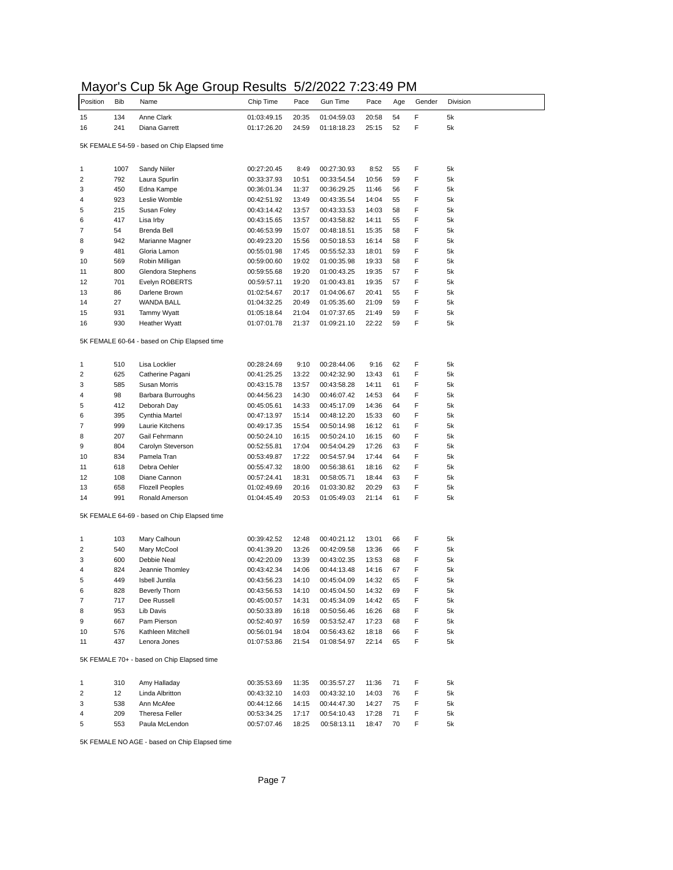## Mayor's Cup 5k Age Group Results 5/2/2022 7:23:49 PM

| Position       | <b>Bib</b> | Name                                         | Chip Time                  | Pace           | Gun Time                   | Pace           | Age      | Gender | Division |
|----------------|------------|----------------------------------------------|----------------------------|----------------|----------------------------|----------------|----------|--------|----------|
| 15             | 134        | Anne Clark                                   | 01:03:49.15                | 20:35          | 01:04:59.03                | 20:58          | 54       | F      | 5k       |
| 16             | 241        | Diana Garrett                                | 01:17:26.20                | 24:59          | 01:18:18.23                | 25:15          | 52       | F      | 5k       |
|                |            | 5K FEMALE 54-59 - based on Chip Elapsed time |                            |                |                            |                |          |        |          |
|                |            |                                              |                            |                |                            |                |          |        |          |
| 1              | 1007       | Sandy Niiler                                 | 00:27:20.45                | 8:49           | 00:27:30.93                | 8:52           | 55       | F      | 5k       |
| $\overline{2}$ | 792        | Laura Spurlin                                | 00:33:37.93                | 10:51          | 00:33:54.54                | 10:56          | 59       | F      | 5k       |
| 3              | 450        | Edna Kampe                                   | 00:36:01.34                | 11:37          | 00:36:29.25                | 11:46          | 56       | F      | 5k       |
| 4              | 923        | Leslie Womble<br>Susan Foley                 | 00:42:51.92                | 13:49          | 00:43:35.54                | 14:04          | 55       | F<br>F | 5k       |
| 5<br>6         | 215<br>417 | Lisa Irby                                    | 00:43:14.42                | 13:57          | 00:43:33.53<br>00:43:58.82 | 14:03<br>14:11 | 58<br>55 | F      | 5k<br>5k |
| 7              | 54         | Brenda Bell                                  | 00:43:15.65<br>00:46:53.99 | 13:57<br>15:07 | 00:48:18.51                | 15:35          | 58       | F      | 5k       |
| 8              | 942        | Marianne Magner                              | 00:49:23.20                | 15:56          | 00:50:18.53                | 16:14          | 58       | F      | 5k       |
| 9              | 481        | Gloria Lamon                                 | 00:55:01.98                | 17:45          | 00:55:52.33                | 18:01          | 59       | F      | 5k       |
| 10             | 569        | Robin Milligan                               | 00:59:00.60                | 19:02          | 01:00:35.98                | 19:33          | 58       | F      | 5k       |
| 11             | 800        | Glendora Stephens                            | 00:59:55.68                | 19:20          | 01:00:43.25                | 19:35          | 57       | F      | 5k       |
| 12             | 701        | Evelyn ROBERTS                               | 00:59:57.11                | 19:20          | 01:00:43.81                | 19:35          | 57       | F      | 5k       |
| 13             | 86         | Darlene Brown                                | 01:02:54.67                | 20:17          | 01:04:06.67                | 20:41          | 55       | F      | 5k       |
| 14             | 27         | WANDA BALL                                   | 01:04:32.25                | 20:49          | 01:05:35.60                | 21:09          | 59       | F      | 5k       |
| 15             | 931        | Tammy Wyatt                                  | 01:05:18.64                | 21:04          | 01:07:37.65                | 21:49          | 59       | F      | 5k       |
| 16             | 930        | <b>Heather Wyatt</b>                         | 01:07:01.78                | 21:37          | 01:09:21.10                | 22:22          | 59       | F      | 5k       |
|                |            | 5K FEMALE 60-64 - based on Chip Elapsed time |                            |                |                            |                |          |        |          |
|                |            |                                              |                            |                |                            |                |          |        |          |
| 1              | 510        | Lisa Locklier                                | 00:28:24.69                | 9:10           | 00:28:44.06                | 9:16           | 62       | F      | 5k       |
| 2              | 625        | Catherine Pagani                             | 00:41:25.25                | 13:22          | 00:42:32.90                | 13:43          | 61       | F      | 5k       |
| 3              | 585        | Susan Morris                                 | 00:43:15.78                | 13:57          | 00:43:58.28                | 14:11          | 61       | F      | 5k       |
| 4              | 98         | Barbara Burroughs                            | 00:44:56.23                | 14:30          | 00:46:07.42                | 14:53          | 64       | F      | 5k       |
| 5              | 412        | Deborah Day                                  | 00:45:05.61                | 14:33          | 00:45:17.09                | 14:36          | 64       | F      | 5k       |
| 6              | 395        | Cynthia Martel                               | 00:47:13.97                | 15:14          | 00:48:12.20                | 15:33          | 60       | F      | 5k       |
| 7              | 999        | Laurie Kitchens                              | 00:49:17.35                | 15:54          | 00:50:14.98                | 16:12          | 61       | F      | 5k       |
| 8              | 207        | Gail Fehrmann                                | 00:50:24.10                | 16:15          | 00:50:24.10                | 16:15          | 60       | F      | 5k       |
| 9              | 804        | Carolyn Steverson                            | 00:52:55.81                | 17:04          | 00:54:04.29                | 17:26          | 63       | F      | 5k       |
| 10             | 834        | Pamela Tran                                  | 00:53:49.87                | 17:22          | 00:54:57.94                | 17:44          | 64       | F      | 5k       |
| 11             | 618        | Debra Oehler                                 | 00:55:47.32                | 18:00          | 00:56:38.61                | 18:16          | 62       | F      | 5k       |
| 12             | 108        | Diane Cannon                                 | 00:57:24.41                | 18:31          | 00:58:05.71                | 18:44          | 63       | F      | 5k       |
| 13<br>14       | 658<br>991 | <b>Flozell Peoples</b>                       | 01:02:49.69                | 20:16          | 01:03:30.82                | 20:29          | 63<br>61 | F<br>F | 5k<br>5k |
|                |            | Ronald Amerson                               | 01:04:45.49                | 20:53          | 01:05:49.03                | 21:14          |          |        |          |
|                |            | 5K FEMALE 64-69 - based on Chip Elapsed time |                            |                |                            |                |          |        |          |
| 1              | 103        | Mary Calhoun                                 | 00:39:42.52                | 12:48          | 00:40:21.12                | 13:01          | 66       | F      | 5k       |
| 2              | 540        | Mary McCool                                  | 00:41:39.20                | 13:26          | 00:42:09.58                | 13:36          | 66       | F      | 5k       |
| 3              | 600        | Debbie Neal                                  | 00:42:20.09                | 13:39          | 00:43:02.35                | 13:53          | 68       | F      | 5k       |
| 4              | 824        | Jeannie Thomley                              | 00:43:42.34                | 14:06          | 00:44:13.48                | 14:16          | 67       | F      | 5k       |
| 5              | 449        | Isbell Juntila                               | 00:43:56.23                | 14:10          | 00:45:04.09                | 14:32          | 65       | F      | 5k       |
| 6              | 828        | Beverly Thorn                                | 00:43:56.53                | 14:10          | 00:45:04.50                | 14:32          | 69       | F      | 5k       |
| 7              | 717        | Dee Russell                                  | 00:45:00.57                | 14:31          | 00:45:34.09                | 14:42          | 65       | F      | 5k       |
| 8              | 953        | Lib Davis                                    | 00:50:33.89                | 16:18          | 00:50:56.46                | 16:26          | 68       | F      | 5k       |
| 9              | 667        | Pam Pierson                                  | 00:52:40.97                | 16:59          | 00:53:52.47                | 17:23          | 68       | F      | 5k       |
| 10             | 576        | Kathleen Mitchell                            | 00:56:01.94                | 18:04          | 00:56:43.62                | 18:18          | 66       | F      | 5k       |
| 11             | 437        | Lenora Jones                                 | 01:07:53.86                | 21:54          | 01:08:54.97                | 22:14          | 65       | F      | 5k       |
|                |            | 5K FEMALE 70+ - based on Chip Elapsed time   |                            |                |                            |                |          |        |          |
| 1              | 310        | Amy Halladay                                 | 00:35:53.69                | 11:35          | 00:35:57.27                | 11:36          | 71       | F      | 5k       |
| 2              | 12         | Linda Albritton                              | 00:43:32.10                | 14:03          | 00:43:32.10                | 14:03          | 76       | F      | 5k       |
| 3              | 538        | Ann McAfee                                   | 00:44:12.66                | 14:15          | 00:44:47.30                | 14:27          | 75       | F      | 5k       |
| 4              | 209        | Theresa Feller                               | 00:53:34.25                | 17:17          | 00:54:10.43                | 17:28          | 71       | F      | 5k       |
| 5              | 553        | Paula McLendon                               | 00:57:07.46                | 18:25          | 00:58:13.11                | 18:47          | 70       | F      | 5k       |

5K FEMALE NO AGE - based on Chip Elapsed time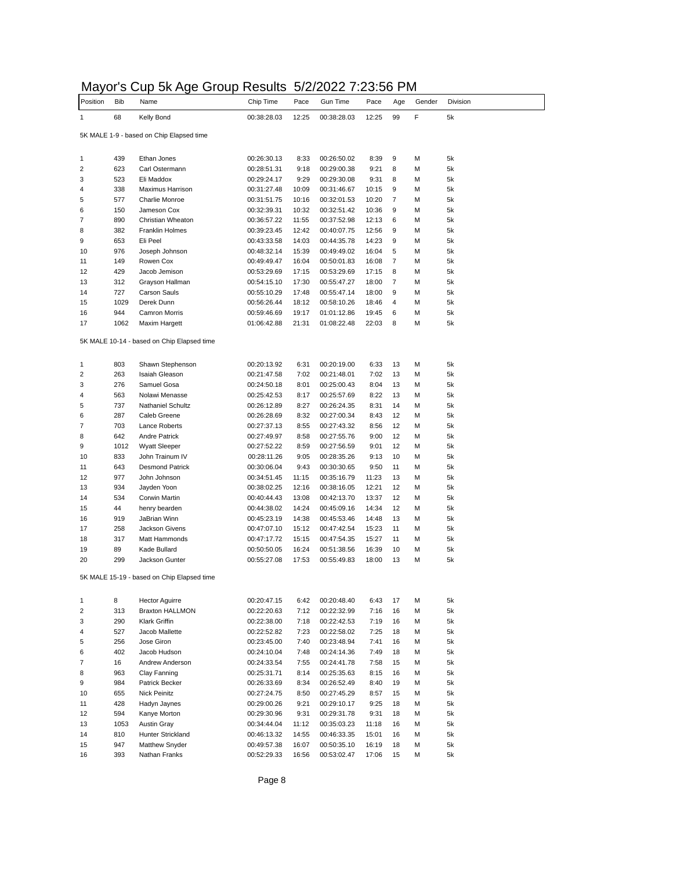## Mayor's Cup 5k Age Group Results 5/2/2022 7:23:56 PM

|          |            | on ny                                      | ,,,,,,,,,,, | ັ້    | -------     | ◡.◡   |     |        |          |
|----------|------------|--------------------------------------------|-------------|-------|-------------|-------|-----|--------|----------|
| Position | <b>Bib</b> | Name                                       | Chip Time   | Pace  | Gun Time    | Pace  | Age | Gender | Division |
|          | 68         | Kelly Bond                                 | 00:38:28.03 | 12:25 | 00:38:28.03 | 12:25 | 99  | F      | 5k       |
|          |            | 5K MALE 1-9 - based on Chip Elapsed time   |             |       |             |       |     |        |          |
|          |            |                                            |             |       |             |       |     |        |          |
|          | 439        | Ethan Jones                                | 00:26:30.13 | 8:33  | 00:26:50.02 | 8:39  | 9   | М      | 5k       |
|          | 623        | Carl Ostermann                             | 00:28:51.31 | 9:18  | 00:29:00.38 | 9:21  | 8   | М      | 5k       |
|          | 523        | Eli Maddox                                 | 00:29:24.17 | 9:29  | 00:29:30.08 | 9:31  | 8   | М      | 5k       |
|          | 338        | Maximus Harrison                           | 00:31:27.48 | 10:09 | 00:31:46.67 | 10:15 | 9   | М      | 5k       |
|          | 577        | <b>Charlie Monroe</b>                      | 00:31:51.75 | 10:16 | 00:32:01.53 | 10:20 | 7   | м      | 5k       |
|          | 150        | Jameson Cox                                | 00:32:39.31 | 10:32 | 00:32:51.42 | 10:36 | 9   | М      | 5k       |
|          | 890        | Christian Wheaton                          | 00:36:57.22 | 11:55 | 00:37:52.98 | 12:13 | 6   | М      | 5k       |
|          | 382        | Franklin Holmes                            | 00:39:23.45 | 12:42 | 00:40:07.75 | 12:56 | 9   | М      | 5k       |
|          | 653        | Eli Peel                                   | 00:43:33.58 | 14:03 | 00:44:35.78 | 14:23 | 9   | М      | 5k       |
|          | 976        | Joseph Johnson                             | 00:48:32.14 | 15:39 | 00:49:49.02 | 16:04 | 5   | М      | 5k       |
|          | 149        | Rowen Cox                                  | 00:49:49.47 | 16:04 | 00:50:01.83 | 16:08 | 7   | М      | 5k       |
|          | 429        | Jacob Jemison                              | 00:53:29.69 | 17:15 | 00:53:29.69 | 17:15 | 8   | М      | 5k       |
|          | 312        | Grayson Hallman                            | 00:54:15.10 | 17:30 | 00:55:47.27 | 18:00 | 7   | М      | 5k       |
|          | 727        | Carson Sauls                               | 00:55:10.29 | 17:48 | 00:55:47.14 | 18:00 | 9   | м      | 5k       |
|          | 1029       | Derek Dunn                                 | 00:56:26.44 | 18:12 | 00:58:10.26 | 18:46 | 4   | М      | 5k       |
|          | 944        | Camron Morris                              | 00:59:46.69 | 19:17 | 01:01:12.86 | 19:45 | 6   | М      | 5k       |
|          | 1062       | Maxim Hargett                              | 01:06:42.88 | 21:31 | 01:08:22.48 | 22:03 | 8   | М      | 5k       |
|          |            | 5K MALE 10-14 - based on Chip Elapsed time |             |       |             |       |     |        |          |
|          | 803        | Shawn Stephenson                           | 00:20:13.92 | 6:31  | 00:20:19.00 | 6:33  | 13  | М      | 5k       |
|          | 263        | Isaiah Gleason                             | 00:21:47.58 | 7:02  | 00:21:48.01 | 7:02  | 13  | м      | 5k       |
|          | 276        | Samuel Gosa                                | 00:24:50.18 | 8:01  | 00:25:00.43 | 8:04  | 13  | М      | 5k       |
|          | 563        | Nolawi Menasse                             | 00:25:42.53 | 8:17  | 00:25:57.69 | 8:22  | 13  | М      | 5k       |
|          | 737        | <b>Nathaniel Schultz</b>                   | 00:26:12.89 | 8:27  | 00:26:24.35 | 8:31  | 14  | М      | 5k       |
|          | 287        | Caleb Greene                               | 00:26:28.69 | 8:32  | 00:27:00.34 | 8:43  | 12  | М      | 5k       |
|          | 703        | Lance Roberts                              | 00:27:37.13 | 8:55  | 00:27:43.32 | 8:56  | 12  | М      | 5k       |
|          | 642        | <b>Andre Patrick</b>                       | 00:27:49.97 | 8:58  | 00:27:55.76 | 9:00  | 12  | М      | 5k       |
|          | 1012       | <b>Wyatt Sleeper</b>                       | 00:27:52.22 | 8:59  | 00:27:56.59 | 9:01  | 12  | М      | 5k       |
|          | 833        | John Trainum IV                            | 00:28:11.26 | 9:05  | 00:28:35.26 | 9:13  | 10  | М      | 5k       |
|          | 643        | <b>Desmond Patrick</b>                     | 00:30:06.04 | 9:43  | 00:30:30.65 | 9:50  | 11  | М      | 5k       |
|          | 977        | John Johnson                               | 00:34:51.45 | 11:15 | 00:35:16.79 | 11:23 | 13  | М      | 5k       |
|          | 934        | Jayden Yoon                                | 00:38:02.25 | 12:16 | 00:38:16.05 | 12:21 | 12  | М      | 5k       |
|          | 534        | Corwin Martin                              | 00:40:44.43 | 13:08 | 00:42:13.70 | 13:37 | 12  | М      | 5k       |
|          | 44         | henry bearden                              | 00:44:38.02 | 14:24 | 00:45:09.16 | 14:34 | 12  | М      | 5k       |
|          | 919        | JaBrian Winn                               | 00:45:23.19 | 14:38 | 00:45:53.46 | 14:48 | 13  | М      | 5k       |
|          | 258        | Jackson Givens                             | 00:47:07.10 | 15:12 | 00:47:42.54 | 15:23 | 11  | М      | 5k       |
|          | 317        | Matt Hammonds                              | 00:47:17.72 | 15:15 | 00:47:54.35 | 15:27 | 11  | М      | 5k       |
|          | 89         | Kade Bullard                               | 00:50:50.05 | 16:24 | 00:51:38.56 | 16:39 | 10  | м      | 5k       |
|          | 299        | Jackson Gunter                             | 00:55:27.08 | 17:53 | 00:55:49.83 | 18:00 | 13  | М      | 5k       |
|          |            | 5K MALE 15-19 - based on Chip Elapsed time |             |       |             |       |     |        |          |
|          | 8          | <b>Hector Aguirre</b>                      | 00:20:47.15 | 6:42  | 00:20:48.40 | 6:43  | 17  | М      | 5k       |
|          | 313        | <b>Braxton HALLMON</b>                     | 00:22:20.63 | 7:12  | 00:22:32.99 | 7:16  | 16  | М      | 5k       |
|          | 290        | Klark Griffin                              | 00:22:38.00 | 7:18  | 00:22:42.53 | 7:19  | 16  | М      | 5k       |
|          | 527        | Jacob Mallette                             | 00:22:52.82 | 7:23  | 00:22:58.02 | 7:25  | 18  | М      | 5k       |
|          | 256        | Jose Giron                                 | 00:23:45.00 | 7:40  | 00:23:48.94 | 7:41  | 16  | М      | 5k       |
|          | 402        | Jacob Hudson                               | 00:24:10.04 | 7:48  | 00:24:14.36 | 7:49  | 18  | М      | 5k       |
|          | 16         | Andrew Anderson                            | 00:24:33.54 | 7:55  | 00:24:41.78 | 7:58  | 15  | М      | 5k       |
|          | 963        | Clay Fanning                               | 00:25:31.71 | 8:14  | 00:25:35.63 | 8:15  | 16  | М      | 5k       |
|          | 984        | Patrick Becker                             | 00:26:33.69 | 8:34  | 00:26:52.49 | 8:40  | 19  | М      | 5k       |
|          | 655        | Nick Peinitz                               | 00:27:24.75 | 8:50  | 00:27:45.29 | 8:57  | 15  | М      | 5k       |
|          | 428        | Hadyn Jaynes                               | 00:29:00.26 | 9:21  | 00:29:10.17 | 9:25  | 18  | М      | 5k       |
|          | 594        | Kanye Morton                               | 00:29:30.96 | 9:31  | 00:29:31.78 | 9:31  | 18  | М      | 5k       |
|          | 1053       | <b>Austin Gray</b>                         | 00:34:44.04 | 11:12 | 00:35:03.23 | 11:18 | 16  | М      | 5k       |
|          | 810        | Hunter Strickland                          | 00:46:13.32 | 14:55 | 00:46:33.35 | 15:01 | 16  | М      | 5k       |
|          | 947        | Matthew Snyder                             | 00:49:57.38 | 16:07 | 00:50:35.10 | 16:19 | 18  | М      | 5k       |
|          | 393        | Nathan Franks                              | 00:52:29.33 | 16:56 | 00:53:02.47 | 17:06 | 15  | М      | 5k       |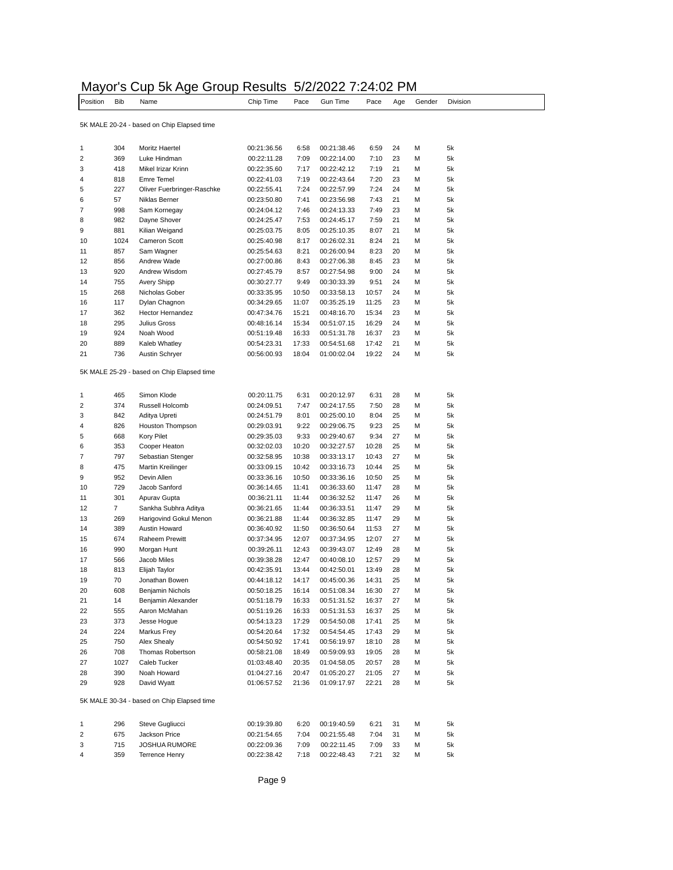|                |            | Mayor's Cup 5k Age Group Results 5/2/2022 7:24:02 PM      |             |       |             |                |     |        |          |
|----------------|------------|-----------------------------------------------------------|-------------|-------|-------------|----------------|-----|--------|----------|
| Position       | <b>Bib</b> | Name                                                      | Chip Time   | Pace  | Gun Time    | Pace           | Age | Gender | Division |
|                |            | 5K MALE 20-24 - based on Chip Elapsed time                |             |       |             |                |     |        |          |
| 1              | 304        | Moritz Haertel                                            | 00:21:36.56 | 6:58  | 00:21:38.46 | 6:59           | 24  | M      | 5k       |
| 2              | 369        | Luke Hindman                                              | 00:22:11.28 | 7:09  | 00:22:14.00 | 7:10           | 23  | M      | 5k       |
| 3              | 418        | Mikel Irizar Krinn                                        | 00:22:35.60 | 7:17  | 00:22:42.12 | 7:19           | 21  | M      | 5k       |
|                | 818        | Emre Temel                                                | 00:22:41.03 | 7:19  | 00:22:43.64 | 7:20           | 23  | М      | 5k       |
| 5              | 227        | Oliver Fuerbringer-Raschke                                | 00:22:55.41 | 7:24  | 00:22:57.99 | 7:24           | 24  | М      | 5k       |
| 6              | 57         | Niklas Berner                                             | 00:23:50.80 | 7:41  | 00:23:56.98 | 7:43           | 21  | М      | 5k       |
| 7              | 998        | Sam Kornegay                                              | 00:24:04.12 | 7:46  | 00:24:13.33 | 7:49           | 23  | M      | 5k       |
| 8              | 982        | Dayne Shover                                              | 00:24:25.47 | 7:53  | 00:24:45.17 | 7:59           | 21  | M      | 5k       |
| 9              | 881        | Kilian Weigand                                            | 00:25:03.75 | 8:05  | 00:25:10.35 | 8:07           | 21  | M      | 5k       |
| 10             | 1024       | <b>Cameron Scott</b>                                      | 00:25:40.98 | 8:17  | 00:26:02.31 | 8:24           | 21  | M      | 5k       |
| 11             | 857        | Sam Wagner                                                | 00:25:54.63 | 8:21  | 00:26:00.94 | 8:23           | 20  | М      | 5k       |
| 12             | 856        | Andrew Wade                                               | 00:27:00.86 | 8:43  | 00:27:06.38 | 8:45           | 23  | M      | 5k       |
| 13             | 920        | Andrew Wisdom                                             | 00:27:45.79 | 8:57  | 00:27:54.98 | 9:00           | 24  | М      | 5k       |
| 14             | 755        | <b>Avery Shipp</b>                                        | 00:30:27.77 | 9:49  | 00:30:33.39 | 9:51           | 24  | M      | 5k       |
| 15             | 268        | Nicholas Gober                                            | 00:33:35.95 | 10:50 | 00:33:58.13 | 10:57          | 24  | М      | 5k       |
| 16             | 117        | Dylan Chagnon                                             | 00:34:29.65 | 11:07 | 00:35:25.19 | 11:25          | 23  | M      | 5k       |
| 17             | 362        | Hector Hernandez                                          | 00:47:34.76 | 15:21 | 00:48:16.70 | 15:34          | 23  | M      | 5k       |
| 18             | 295        | Julius Gross                                              | 00:48:16.14 | 15:34 | 00:51:07.15 | 16:29          | 24  | M      | 5k       |
| 19             | 924        | Noah Wood                                                 | 00:51:19.48 | 16:33 | 00:51:31.78 | 16:37          | 23  | М      | 5k       |
| 20             | 889        | Kaleb Whatley                                             | 00:54:23.31 | 17:33 | 00:54:51.68 | 17:42          | 21  | M      | 5k       |
| 21             | 736        | Austin Schryer                                            | 00:56:00.93 | 18:04 | 01:00:02.04 | 19:22          | 24  | М      | 5k       |
| 1              |            | 5K MALE 25-29 - based on Chip Elapsed time                |             |       |             |                |     |        |          |
|                | 465        | Simon Klode                                               | 00:20:11.75 | 6:31  | 00:20:12.97 | 6:31           | 28  | М      | 5k       |
| $\overline{2}$ | 374        | Russell Holcomb                                           | 00:24:09.51 | 7:47  | 00:24:17.55 | 7:50           | 28  | M      | 5k       |
| 3              | 842        | Aditya Upreti                                             | 00:24:51.79 | 8:01  | 00:25:00.10 | 8:04           | 25  | М      | 5k       |
| $\overline{4}$ | 826        | Houston Thompson                                          | 00:29:03.91 | 9:22  | 00:29:06.75 | 9:23           | 25  | M      | 5k       |
| 5              | 668        | Kory Pilet                                                | 00:29:35.03 | 9:33  | 00:29:40.67 | 9:34           | 27  | М      | 5k       |
| 6              | 353        | Cooper Heaton                                             | 00:32:02.03 | 10:20 | 00:32:27.57 | 10:28          | 25  | М      | 5k       |
| 7              | 797        | Sebastian Stenger                                         | 00:32:58.95 | 10:38 | 00:33:13.17 | 10:43          | 27  | М      | 5k       |
| 8              | 475        | Martin Kreilinger                                         | 00:33:09.15 | 10:42 | 00:33:16.73 | 10:44          | 25  | M      | 5k       |
| 9              | 952        | Devin Allen                                               | 00:33:36.16 | 10:50 | 00:33:36.16 | 10:50          | 25  | M      | 5k       |
| 10             | 729        | Jacob Sanford                                             | 00:36:14.65 | 11:41 | 00:36:33.60 | 11:47          | 28  | М      | 5k       |
| 11             | 301        | Apurav Gupta                                              | 00:36:21.11 | 11:44 | 00:36:32.52 | 11:47          | 26  | М      | 5k       |
| 12             | 7          | Sankha Subhra Aditya                                      | 00:36:21.65 | 11:44 | 00:36:33.51 | 11:47          | 29  | М      | 5k       |
| 13             | 269        | Harigovind Gokul Menon                                    | 00:36:21.88 | 11:44 | 00:36:32.85 | 11:47          | 29  | M      | 5k       |
| 14             | 389        | Austin Howard                                             | 00:36:40.92 | 11:50 | 00:36:50.64 | 11:53          | 27  | М      | 5k       |
| 15             | 674        | <b>Raheem Prewitt</b>                                     | 00:37:34.95 | 12:07 | 00:37:34.95 | 12:07          | 27  | М      | 5k       |
| 16<br>17       | 990        | Morgan Hunt                                               | 00:39:26.11 | 12:43 | 00:39:43.07 | 12:49          | 28  | М      | 5k       |
|                | 566        | Jacob Miles                                               | 00:39:38.28 | 12:47 | 00:40:08.10 | 12:57          | 29  | M      | 5k       |
| 18             | 813        | Elijah Taylor<br>Jonathan Bowen                           | 00:42:35.91 | 13:44 | 00:42:50.01 | 13:49          | 28  | М      | 5k       |
| 19             | 70         |                                                           | 00:44:18.12 | 14:17 | 00:45:00.36 | 14:31<br>16:30 | 25  | М      | 5k       |
| 20             | 608        | Benjamin Nichols<br>Benjamin Alexander                    | 00:50:18.25 | 16:14 | 00:51:08.34 |                | 27  | М      | 5k       |
| 21<br>22       | 14         | Aaron McMahan                                             | 00:51:18.79 | 16:33 | 00:51:31.52 | 16:37          | 27  | М      | 5k       |
|                | 555        |                                                           | 00:51:19.26 | 16:33 | 00:51:31.53 | 16:37          | 25  | М      | 5k       |
| 23             | 373        | Jesse Hogue                                               | 00:54:13.23 | 17:29 | 00:54:50.08 | 17:41          | 25  | М      | 5k       |
| 24             | 224        | Markus Frey<br>Alex Shealy                                | 00:54:20.64 | 17:32 | 00:54:54.45 | 17:43          | 29  | М      | 5k       |
| 25             | 750        |                                                           | 00:54:50.92 | 17:41 | 00:56:19.97 | 18:10          | 28  | М      | 5k       |
| 26             | 708        | Thomas Robertson                                          | 00:58:21.08 | 18:49 | 00:59:09.93 | 19:05          | 28  | М      | 5k       |
| 27             | 1027       | Caleb Tucker                                              | 01:03:48.40 | 20:35 | 01:04:58.05 | 20:57          | 28  | М      | 5k       |
| 28             | 390        | Noah Howard                                               | 01:04:27.16 | 20:47 | 01:05:20.27 | 21:05          | 27  | М      | 5k       |
| 29             | 928        | David Wyatt<br>5K MALE 30-34 - based on Chip Elapsed time | 01:06:57.52 | 21:36 | 01:09:17.97 | 22:21          | 28  | М      | 5k       |
| 1              |            |                                                           |             |       |             |                |     |        |          |
|                | 296        | Steve Gugliucci                                           | 00:19:39.80 | 6:20  | 00:19:40.59 | 6:21           | 31  | м      | 5k       |
| 2              | 675        | Jackson Price                                             | 00:21:54.65 | 7:04  | 00:21:55.48 | 7:04           | 31  | М      | 5k       |
| 3              | 715        | JOSHUA RUMORE                                             | 00:22:09.36 | 7:09  | 00:22:11.45 | 7:09           | 33  | М      | 5k       |
| 4              | 359        | <b>Terrence Henry</b>                                     | 00:22:38.42 | 7:18  | 00:22:48.43 | 7:21           | 32  | м      | 5k       |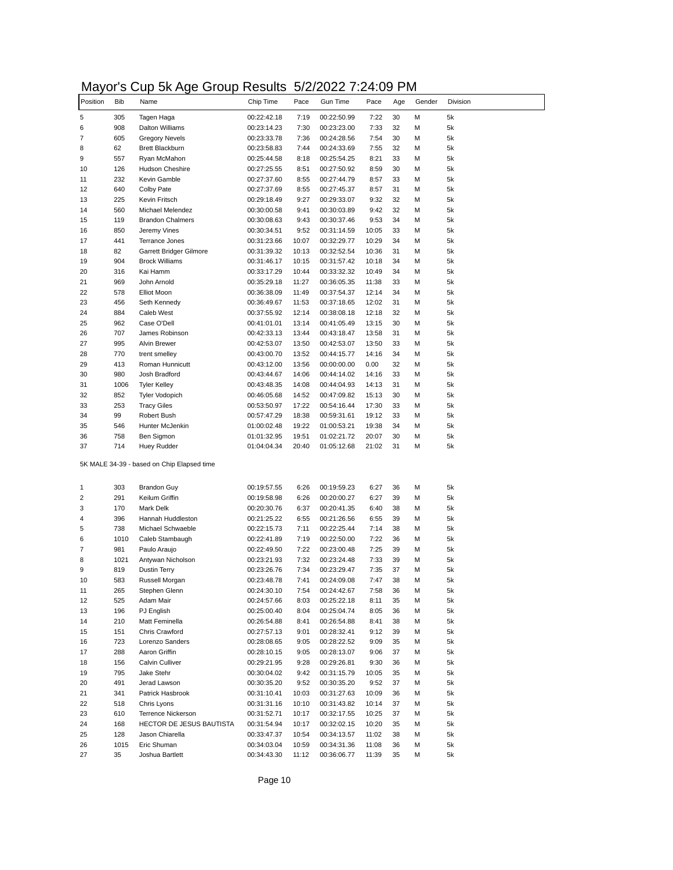## Mayor's Cup 5k Age Group Results 5/2/2022 7:24:09 PM

| Position | <b>Bib</b> | Name                                                             | Chip Time                  | Pace           | Gun Time                   | Pace           | Age      | Gender | Division |
|----------|------------|------------------------------------------------------------------|----------------------------|----------------|----------------------------|----------------|----------|--------|----------|
|          | 305        | Tagen Haga                                                       | 00:22:42.18                | 7:19           | 00:22:50.99                | 7:22           | 30       | М      | 5k       |
|          | 908        | <b>Dalton Williams</b>                                           | 00:23:14.23                | 7:30           | 00:23:23.00                | 7:33           | 32       | М      | 5k       |
|          | 605        | <b>Gregory Nevels</b>                                            | 00:23:33.78                | 7:36           | 00:24:28.56                | 7:54           | 30       | М      | 5k       |
|          | 62         | <b>Brett Blackburn</b>                                           | 00:23:58.83                | 7:44           | 00:24:33.69                | 7:55           | 32       | М      | 5k       |
|          | 557        | Ryan McMahon                                                     | 00:25:44.58                | 8:18           | 00:25:54.25                | 8:21           | 33       | М      | 5k       |
|          | 126        | Hudson Cheshire                                                  | 00:27:25.55                | 8:51           | 00:27:50.92                | 8:59           | 30       | М      | 5k       |
|          | 232        | Kevin Gamble                                                     | 00:27:37.60                | 8:55           | 00:27:44.79                | 8:57           | 33       | М      | 5k       |
|          | 640        | Colby Pate                                                       | 00:27:37.69                | 8:55           | 00:27:45.37                | 8:57           | 31       | М      | 5k       |
|          | 225        | Kevin Fritsch                                                    | 00:29:18.49                | 9:27           | 00:29:33.07                | 9:32           | 32       | м      | 5k       |
|          | 560        | Michael Melendez                                                 | 00:30:00.58                | 9:41           | 00:30:03.89                | 9:42           | 32       | М      | 5k       |
|          | 119        | <b>Brandon Chalmers</b>                                          | 00:30:08.63                | 9:43           | 00:30:37.46                | 9:53           | 34       | М      | 5k       |
|          | 850        | Jeremy Vines                                                     | 00:30:34.51                | 9:52           | 00:31:14.59                | 10:05          | 33       | М      | 5k       |
|          | 441<br>82  | Terrance Jones                                                   | 00:31:23.66                | 10:07          | 00:32:29.77                | 10:29          | 34       | М      | 5k       |
|          | 904        | Garrett Bridger Gilmore<br><b>Brock Williams</b>                 | 00:31:39.32<br>00:31:46.17 | 10:13<br>10:15 | 00:32:52.54<br>00:31:57.42 | 10:36<br>10:18 | 31<br>34 | м<br>М | 5k<br>5k |
|          | 316        | Kai Hamm                                                         | 00:33:17.29                | 10:44          | 00:33:32.32                | 10:49          | 34       | М      | 5k       |
|          | 969        | John Arnold                                                      | 00:35:29.18                | 11:27          | 00:36:05.35                | 11:38          | 33       | М      | 5k       |
|          | 578        | <b>Elliot Moon</b>                                               | 00:36:38.09                | 11:49          | 00:37:54.37                | 12:14          | 34       | м      | 5k       |
|          | 456        | Seth Kennedy                                                     | 00:36:49.67                | 11:53          | 00:37:18.65                | 12:02          | 31       | М      | 5k       |
|          | 884        | <b>Caleb West</b>                                                | 00:37:55.92                | 12:14          | 00:38:08.18                | 12:18          | 32       | М      | 5k       |
|          | 962        | Case O'Dell                                                      | 00:41:01.01                | 13:14          | 00:41:05.49                | 13:15          | 30       | М      | 5k       |
|          | 707        | James Robinson                                                   | 00:42:33.13                | 13:44          | 00:43:18.47                | 13:58          | 31       | М      | 5k       |
|          | 995        | <b>Alvin Brewer</b>                                              | 00:42:53.07                | 13:50          | 00:42:53.07                | 13:50          | 33       | М      | 5k       |
|          | 770        | trent smelley                                                    | 00:43:00.70                | 13:52          | 00:44:15.77                | 14:16          | 34       | М      | 5k       |
|          | 413        | Roman Hunnicutt                                                  | 00:43:12.00                | 13:56          | 00:00:00.00                | 0.00           | 32       | М      | 5k       |
|          | 980        | Josh Bradford                                                    | 00:43:44.67                | 14:06          | 00:44:14.02                | 14:16          | 33       | м      | 5k       |
|          | 1006       | <b>Tyler Kelley</b>                                              | 00:43:48.35                | 14:08          | 00:44:04.93                | 14:13          | 31       | М      | 5k       |
|          | 852        | <b>Tyler Vodopich</b>                                            | 00:46:05.68                | 14:52          | 00:47:09.82                | 15:13          | 30       | М      | 5k       |
|          | 253        | <b>Tracy Giles</b>                                               | 00:53:50.97                | 17:22          | 00:54:16.44                | 17:30          | 33       | М      | 5k       |
|          | 99         | Robert Bush                                                      | 00:57:47.29                | 18:38          | 00:59:31.61                | 19:12          | 33       | М      | 5k       |
|          | 546        | Hunter McJenkin                                                  | 01:00:02.48                | 19:22          | 01:00:53.21                | 19:38          | 34       | М      | 5k       |
|          | 758        | Ben Sigmon                                                       | 01:01:32.95                | 19:51          | 01:02:21.72                | 20:07          | 30       | М      | 5k       |
|          | 714        | Huey Rudder                                                      | 01:04:04.34                | 20:40          | 01:05:12.68                | 21:02          | 31       | М      | 5k       |
|          | 303        | 5K MALE 34-39 - based on Chip Elapsed time<br><b>Brandon Guy</b> | 00:19:57.55                | 6:26           | 00:19:59.23                | 6:27           | 36       | М      | 5k       |
|          | 291        | Keilum Griffin                                                   | 00:19:58.98                | 6:26           | 00:20:00.27                | 6:27           | 39       | М      | 5k       |
|          | 170        | Mark Delk                                                        | 00:20:30.76                | 6:37           | 00:20:41.35                | 6:40           | 38       | М      | 5k       |
|          | 396        | Hannah Huddleston                                                | 00:21:25.22                | 6:55           | 00:21:26.56                | 6:55           | 39       | М      | 5k       |
|          | 738        | Michael Schwaeble                                                | 00:22:15.73                | 7:11           | 00:22:25.44                | 7:14           | 38       | М      | 5k       |
|          | 1010       | Caleb Stambaugh                                                  | 00:22:41.89                | 7:19           | 00:22:50.00                | 7:22           | 36       | М      | 5k       |
|          | 981        | Paulo Araujo                                                     | 00:22:49.50                | 7:22           | 00:23:00.48                | 7:25           | 39       | м      | 5k       |
|          | 1021       | Antywan Nicholson                                                | 00:23:21.93                | 7:32           | 00:23:24.48                | 7:33           | 39       | м      | 5k       |
|          | 819        | Dustin Terry                                                     | 00:23:26.76                | 7:34           | 00:23:29.47                | 7:35           | 37       | М      | 5k       |
|          | 583        | Russell Morgan                                                   | 00:23:48.78                | 7:41           | 00:24:09.08                | 7:47           | 38       | м      | 5k       |
|          | 265        | Stephen Glenn                                                    | 00:24:30.10                | 7:54           | 00:24:42.67                | 7:58           | 36       | М      | 5k       |
|          | 525        | Adam Mair                                                        | 00:24:57.66                | 8:03           | 00:25:22.18                | 8:11           | 35       | м      | 5k       |
|          | 196        | PJ English                                                       | 00:25:00.40                | 8:04           | 00:25:04.74                | 8:05           | 36       | М      | 5k       |
|          | 210        | Matt Feminella                                                   | 00:26:54.88                | 8:41           | 00:26:54.88                | 8:41           | 38       | М      | 5k       |
|          | 151        | Chris Crawford                                                   | 00:27:57.13                | 9:01           | 00:28:32.41                | 9:12           | 39       | М      | 5k       |
|          | 723        | Lorenzo Sanders                                                  | 00:28:08.65                | 9:05           | 00:28:22.52                | 9:09           | 35       | М      | 5k       |
|          | 288        | Aaron Griffin                                                    | 00:28:10.15                | 9:05           | 00:28:13.07                | 9:06           | 37       | М      | 5k       |
|          | 156        | Calvin Culliver                                                  | 00:29:21.95                | 9:28           | 00:29:26.81                | 9:30           | 36       | М      | 5k       |
|          | 795        | Jake Stehr                                                       | 00:30:04.02                | 9:42           | 00:31:15.79                | 10:05          | 35       | М      | 5k       |
|          | 491        | Jerad Lawson                                                     | 00:30:35.20                | 9:52           | 00:30:35.20                | 9:52           | 37       | М      | 5k       |
|          | 341        | Patrick Hasbrook                                                 | 00:31:10.41                | 10:03          | 00:31:27.63                | 10:09          | 36       | М      | 5k       |
|          | 518        | Chris Lyons                                                      | 00:31:31.16                | 10:10          | 00:31:43.82                | 10:14          | 37       | М      | 5k       |
|          | 610        | Terrence Nickerson                                               | 00:31:52.71                | 10:17          | 00:32:17.55                | 10:25          | 37       | М      | 5k       |
|          | 168        | HECTOR DE JESUS BAUTISTA                                         | 00:31:54.94                | 10:17          | 00:32:02.15                | 10:20          | 35       | М      | 5k       |
|          | 128        | Jason Chiarella                                                  | 00:33:47.37                | 10:54          | 00:34:13.57                | 11:02          | 38       | М      | 5k       |
|          | 1015       | Eric Shuman                                                      | 00:34:03.04                | 10:59          | 00:34:31.36                | 11:08          | 36       | М      | 5k       |
|          | 35         | Joshua Bartlett                                                  | 00:34:43.30                | 11:12          | 00:36:06.77                | 11:39          | 35       | М      | 5k       |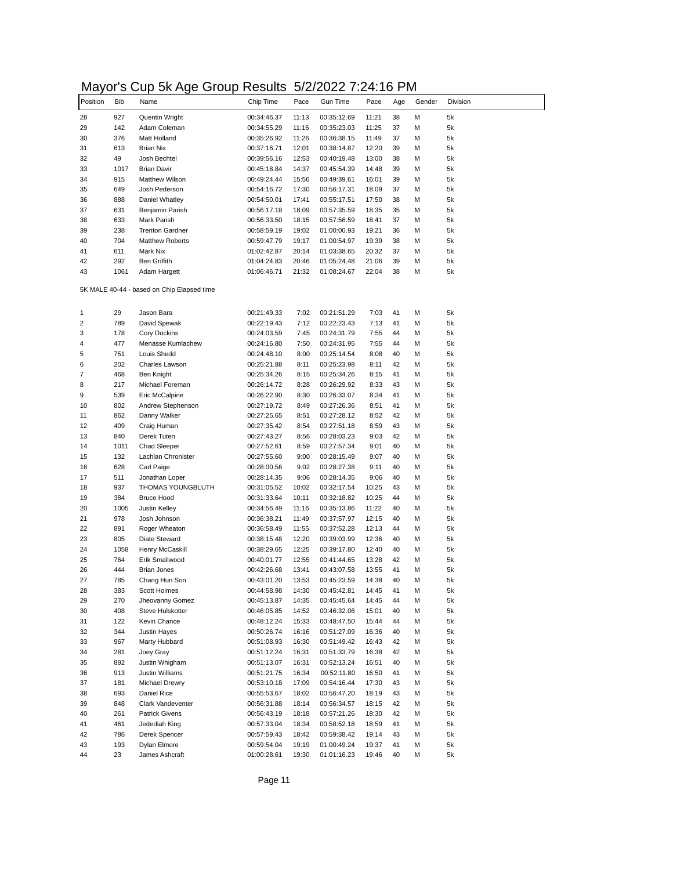## Mayor's Cup 5k Age Group Results 5/2/2022 7:24:16 PM

| . a y    |            | שי ייש<br>ン・マロド                            | .           |       |             | .     | . . |        |          |
|----------|------------|--------------------------------------------|-------------|-------|-------------|-------|-----|--------|----------|
| Position | <b>Bib</b> | Name                                       | Chip Time   | Pace  | Gun Time    | Pace  | Age | Gender | Division |
| 28       | 927        | Quentin Wright                             | 00:34:46.37 | 11:13 | 00:35:12.69 | 11:21 | 38  | М      | 5k       |
| 29       | 142        | Adam Coleman                               | 00:34:55.29 | 11:16 | 00:35:23.03 | 11:25 | 37  | М      | 5k       |
| 30       | 376        | Matt Holland                               | 00:35:26.92 | 11:26 | 00:36:38.15 | 11:49 | 37  | М      | 5k       |
|          | 613        | Brian Nix                                  | 00:37:16.71 | 12:01 | 00:38:14.87 | 12:20 | 39  | М      | 5k       |
|          | 49         | Josh Bechtel                               | 00:39:56.16 | 12:53 | 00:40:19.48 | 13:00 | 38  | М      | 5k       |
|          | 1017       | <b>Brian Davir</b>                         | 00:45:18.84 | 14:37 | 00:45:54.39 | 14:48 | 39  | М      | 5k       |
|          | 915        | <b>Matthew Wilson</b>                      | 00:49:24.44 | 15:56 | 00:49:39.61 | 16:01 | 39  | М      | 5k       |
|          | 649        | Josh Pederson                              | 00:54:16.72 | 17:30 | 00:56:17.31 | 18:09 | 37  | М      | 5k       |
| 35<br>36 | 888        | Daniel Whatley                             | 00:54:50.01 | 17:41 | 00:55:17.51 | 17:50 | 38  | м      | 5k       |
|          | 631        | Benjamin Parish                            | 00:56:17.18 | 18:09 | 00:57:35.59 | 18:35 | 35  | М      | 5k       |
| 37       | 633        | Mark Parish                                | 00:56:33.50 | 18:15 | 00:57:56.59 | 18:41 | 37  | М      | 5k       |
| 38<br>39 | 238        | <b>Trenton Gardner</b>                     | 00:58:59.19 | 19:02 | 01:00:00.93 | 19:21 | 36  | М      | 5k       |
| 40       | 704        | <b>Matthew Roberts</b>                     | 00:59:47.79 | 19:17 | 01:00:54.97 | 19:39 | 38  | М      | 5k       |
|          | 611        | Mark Nix                                   | 01:02:42.87 | 20:14 | 01:03:38.65 | 20:32 | 37  | М      | 5k       |
| 41<br>42 | 292        | <b>Ben Griffith</b>                        | 01:04:24.83 | 20:46 | 01:05:24.48 | 21:06 | 39  | М      | 5k       |
| 43       | 1061       | Adam Hargett                               | 01:06:46.71 | 21:32 |             | 22:04 | 38  | М      | 5k       |
|          |            |                                            |             |       | 01:08:24.67 |       |     |        |          |
|          |            | 5K MALE 40-44 - based on Chip Elapsed time |             |       |             |       |     |        |          |
|          | 29         | Jason Bara                                 | 00:21:49.33 | 7:02  | 00:21:51.29 | 7:03  | 41  | М      | 5k       |
|          | 789        | David Spewak                               | 00:22:19.43 | 7:12  | 00:22:23.43 | 7:13  | 41  | М      | 5k       |
|          | 178        | Cory Dockins                               | 00:24:03.59 | 7:45  | 00:24:31.79 | 7:55  | 44  | М      | 5k       |
|          | 477        | Menasse Kumlachew                          | 00:24:16.80 | 7:50  | 00:24:31.95 | 7:55  | 44  | М      | 5k       |
|          | 751        | Louis Shedd                                | 00:24:48.10 | 8:00  | 00:25:14.54 | 8:08  | 40  | М      | 5k       |
|          | 202        | Charles Lawson                             | 00:25:21.88 | 8:11  | 00:25:23.98 | 8:11  | 42  | М      | 5k       |
|          | 468        | Ben Knight                                 | 00:25:34.26 | 8:15  | 00:25:34.26 | 8:15  | 41  | м      | 5k       |
|          |            | Michael Foreman                            |             |       |             |       | 43  |        |          |
|          | 217        |                                            | 00:26:14.72 | 8:28  | 00:26:29.92 | 8:33  |     | М      | 5k       |
|          | 539        | Eric McCalpine                             | 00:26:22.90 | 8:30  | 00:26:33.07 | 8:34  | 41  | М      | 5k       |
|          | 802        | Andrew Stephenson                          | 00:27:19.72 | 8:49  | 00:27:26.36 | 8:51  | 41  | М      | 5k       |
|          | 862        | Danny Walker                               | 00:27:25.65 | 8:51  | 00:27:28.12 | 8:52  | 42  | М      | 5k       |
|          | 409        | Craig Human                                | 00:27:35.42 | 8:54  | 00:27:51.18 | 8:59  | 43  | М      | 5k       |
| 13       | 840        | Derek Tuten                                | 00:27:43.27 | 8:56  | 00:28:03.23 | 9:03  | 42  | М      | 5k       |
|          | 1011       | <b>Chad Sleeper</b>                        | 00:27:52.61 | 8:59  | 00:27:57.34 | 9:01  | 40  | М      | 5k       |
|          | 132        | Lachlan Chronister                         | 00:27:55.60 | 9:00  | 00:28:15.49 | 9:07  | 40  | м      | 5k       |
|          | 628        | Carl Paige                                 | 00:28:00.56 | 9:02  | 00:28:27.38 | 9:11  | 40  | м      | 5k       |
|          | 511        | Jonathan Loper                             | 00:28:14.35 | 9:06  | 00:28:14.35 | 9:06  | 40  | М      | 5k       |
| 18       | 937        | THOMAS YOUNGBLUTH                          | 00:31:05.52 | 10:02 | 00:32:17.54 | 10:25 | 43  | М      | 5k       |
|          | 384        | <b>Bruce Hood</b>                          | 00:31:33.64 | 10:11 | 00:32:18.82 | 10:25 | 44  | М      | 5k       |
|          | 1005       | <b>Justin Kelley</b>                       | 00:34:56.49 | 11:16 | 00:35:13.86 | 11:22 | 40  | М      | 5k       |
|          | 978        | Josh Johnson                               | 00:36:38.21 | 11:49 | 00:37:57.97 | 12:15 | 40  | М      | 5k       |
|          | 891        | Roger Wheaton                              | 00:36:58.49 | 11:55 | 00:37:52.28 | 12:13 | 44  | М      | 5k       |
|          | 805        | Diate Steward                              | 00:38:15.48 | 12:20 | 00:39:03.99 | 12:36 | 40  | М      | 5k       |
|          | 1058       | Henry McCaskill                            | 00:38:29.65 | 12:25 | 00:39:17.80 | 12:40 | 40  | м      | 5k       |
|          | 764        | Erik Smallwood                             | 00:40:01.77 | 12:55 | 00:41:44.65 | 13:28 | 42  | М      | 5k       |
|          | 444        | <b>Brian Jones</b>                         | 00:42:26.68 | 13:41 | 00:43:07.58 | 13:55 | 41  | М      | 5k       |
|          | 785        | Chang Hun Son                              | 00:43:01.20 | 13:53 | 00:45:23.59 | 14:38 | 40  | м      | 5k       |
|          | 383        | Scott Holmes                               | 00:44:58.98 | 14:30 | 00:45:42.81 | 14:45 | 41  | М      | 5k       |
|          | 270        | Jheovanny Gomez                            | 00:45:13.87 | 14:35 | 00:45:45.64 | 14:45 | 44  | М      | 5k       |
|          | 408        | Steve Hulskotter                           |             |       | 00:46:32.06 |       | 40  | М      |          |
|          |            |                                            | 00:46:05.85 | 14:52 |             | 15:01 |     |        | 5k       |
|          | 122        | Kevin Chance                               | 00:48:12.24 | 15:33 | 00:48:47.50 | 15:44 | 44  | М      | 5k       |
| 32<br>33 | 344        | Justin Hayes                               | 00:50:26.74 | 16:16 | 00:51:27.09 | 16:36 | 40  | М      | 5k       |
|          | 967        | Marty Hubbard                              | 00:51:08.93 | 16:30 | 00:51:49.42 | 16:43 | 42  | М      | 5k       |
|          | 281        | Joey Gray                                  | 00:51:12.24 | 16:31 | 00:51:33.79 | 16:38 | 42  | М      | 5k       |
|          | 892        | Justin Whigham                             | 00:51:13.07 | 16:31 | 00:52:13.24 | 16:51 | 40  | М      | 5k       |
|          | 913        | Justin Williams                            | 00:51:21.75 | 16:34 | 00:52:11.80 | 16:50 | 41  | М      | 5k       |
| 37       | 181        | Michael Drewry                             | 00:53:10.18 | 17:09 | 00:54:16.44 | 17:30 | 43  | М      | 5k       |
| 38       | 693        | Daniel Rice                                | 00:55:53.67 | 18:02 | 00:56:47.20 | 18:19 | 43  | М      | 5k       |
| 39       | 848        | Clark Vandeventer                          | 00:56:31.88 | 18:14 | 00:56:34.57 | 18:15 | 42  | М      | 5k       |
| 40       | 261        | <b>Patrick Givens</b>                      | 00:56:43.19 | 18:18 | 00:57:21.26 | 18:30 | 42  | М      | 5k       |
|          | 461        | Jedediah King                              | 00:57:33.04 | 18:34 | 00:58:52.18 | 18:59 | 41  | М      | 5k       |
| 42       | 786        | Derek Spencer                              | 00:57:59.43 | 18:42 | 00:59:38.42 | 19:14 | 43  | М      | 5k       |
|          | 193        | Dylan Elmore                               | 00:59:54.04 | 19:19 | 01:00:49.24 | 19:37 | 41  | М      | 5k       |
| 43<br>44 | 23         | James Ashcraft                             | 01:00:28.61 | 19:30 | 01:01:16.23 | 19:46 | 40  | М      | 5k       |
|          |            |                                            |             |       |             |       |     |        |          |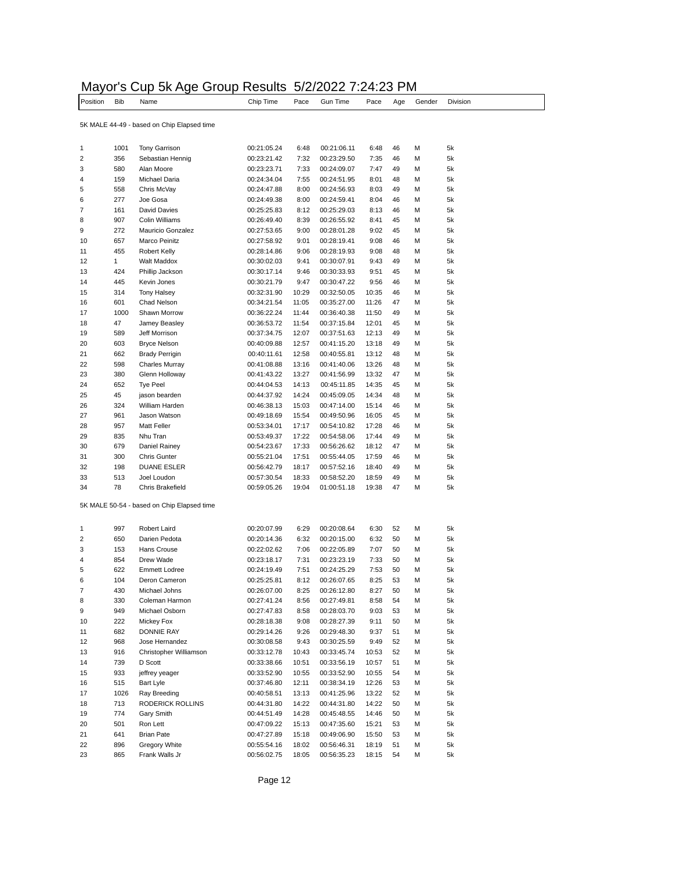|                 |            |                                            | Mayor's Cup 5k Age Group Results 5/2/2022 7:24:23 PM |           |      |          |      |     |        |          |
|-----------------|------------|--------------------------------------------|------------------------------------------------------|-----------|------|----------|------|-----|--------|----------|
| <b>Position</b> | <b>Bib</b> | Name                                       |                                                      | Chip Time | Pace | Gun Time | Pace | Aae | Gender | Division |
|                 |            | 5K MALE 44-49 - based on Chip Elapsed time |                                                      |           |      |          |      |     |        |          |

| 1                                          | 1001 | <b>Tony Garrison</b>           | 00:21:05.24 | 6:48  | 00:21:06.11 | 6:48  | 46 | М | 5k |  |
|--------------------------------------------|------|--------------------------------|-------------|-------|-------------|-------|----|---|----|--|
| $\overline{2}$                             | 356  | Sebastian Hennig               | 00:23:21.42 | 7:32  | 00:23:29.50 | 7:35  | 46 | М | 5k |  |
| 3                                          | 580  | Alan Moore                     | 00:23:23.71 | 7:33  | 00:24:09.07 | 7:47  | 49 | М | 5k |  |
| 4                                          | 159  | Michael Daria                  | 00:24:34.04 | 7:55  | 00:24:51.95 | 8:01  | 48 | М | 5k |  |
| 5                                          | 558  | Chris McVay                    | 00:24:47.88 | 8:00  | 00:24:56.93 | 8:03  | 49 | М | 5k |  |
| 6                                          | 277  | Joe Gosa                       | 00:24:49.38 | 8:00  | 00:24:59.41 | 8:04  | 46 | М | 5k |  |
| 7                                          | 161  | <b>David Davies</b>            | 00:25:25.83 | 8:12  | 00:25:29.03 | 8:13  | 46 | М | 5k |  |
| 8                                          | 907  | <b>Colin Williams</b>          | 00:26:49.40 | 8:39  | 00:26:55.92 | 8:41  | 45 | М | 5k |  |
|                                            |      |                                |             |       |             |       |    | М |    |  |
| 9                                          | 272  | Mauricio Gonzalez              | 00:27:53.65 | 9:00  | 00:28:01.28 | 9:02  | 45 |   | 5k |  |
| 10                                         | 657  | Marco Peinitz                  | 00:27:58.92 | 9:01  | 00:28:19.41 | 9:08  | 46 | М | 5k |  |
| 11                                         | 455  | <b>Robert Kelly</b>            | 00:28:14.86 | 9:06  | 00:28:19.93 | 9:08  | 48 | М | 5k |  |
| 12                                         | 1    | <b>Walt Maddox</b>             | 00:30:02.03 | 9:41  | 00:30:07.91 | 9:43  | 49 | м | 5k |  |
| 13                                         | 424  | Phillip Jackson                | 00:30:17.14 | 9:46  | 00:30:33.93 | 9:51  | 45 | М | 5k |  |
| 14                                         | 445  | Kevin Jones                    | 00:30:21.79 | 9:47  | 00:30:47.22 | 9:56  | 46 | М | 5k |  |
| 15                                         | 314  | <b>Tony Halsey</b>             | 00:32:31.90 | 10:29 | 00:32:50.05 | 10:35 | 46 | М | 5k |  |
| 16                                         | 601  | Chad Nelson                    | 00:34:21.54 | 11:05 | 00:35:27.00 | 11:26 | 47 | М | 5k |  |
| 17                                         | 1000 | Shawn Morrow                   | 00:36:22.24 | 11:44 | 00:36:40.38 | 11:50 | 49 | М | 5k |  |
| 18                                         | 47   | Jamey Beasley                  | 00:36:53.72 | 11:54 | 00:37:15.84 | 12:01 | 45 | М | 5k |  |
| 19                                         | 589  | Jeff Morrison                  | 00:37:34.75 | 12:07 | 00:37:51.63 | 12:13 | 49 | М | 5k |  |
| 20                                         | 603  | <b>Bryce Nelson</b>            | 00:40:09.88 | 12:57 | 00:41:15.20 | 13:18 | 49 | м | 5k |  |
| 21                                         | 662  | <b>Brady Perrigin</b>          | 00:40:11.61 | 12:58 | 00:40:55.81 | 13:12 | 48 | М | 5k |  |
| 22                                         | 598  | <b>Charles Murray</b>          | 00:41:08.88 | 13:16 | 00:41:40.06 | 13:26 | 48 | М | 5k |  |
| 23                                         | 380  | Glenn Holloway                 | 00:41:43.22 | 13:27 | 00:41:56.99 | 13:32 | 47 | М | 5k |  |
| 24                                         | 652  | <b>Tye Peel</b>                | 00:44:04.53 | 14:13 | 00:45:11.85 | 14:35 | 45 | М | 5k |  |
| 25                                         | 45   | jason bearden                  | 00:44:37.92 | 14:24 | 00:45:09.05 | 14:34 | 48 | М | 5k |  |
| 26                                         |      | William Harden                 |             |       |             |       | 46 | М |    |  |
|                                            | 324  |                                | 00:46:38.13 | 15:03 | 00:47:14.00 | 15:14 |    |   | 5k |  |
| 27                                         | 961  | Jason Watson                   | 00:49:18.69 | 15:54 | 00:49:50.96 | 16:05 | 45 | М | 5k |  |
| 28                                         | 957  | Matt Feller                    | 00:53:34.01 | 17:17 | 00:54:10.82 | 17:28 | 46 | м | 5k |  |
| 29                                         | 835  | Nhu Tran                       | 00:53:49.37 | 17:22 | 00:54:58.06 | 17:44 | 49 | М | 5k |  |
| 30                                         | 679  | Daniel Rainey                  | 00:54:23.67 | 17:33 | 00:56:26.62 | 18:12 | 47 | М | 5k |  |
| 31                                         | 300  | <b>Chris Gunter</b>            | 00:55:21.04 | 17:51 | 00:55:44.05 | 17:59 | 46 | М | 5k |  |
| 32                                         | 198  | <b>DUANE ESLER</b>             | 00:56:42.79 | 18:17 | 00:57:52.16 | 18:40 | 49 | М | 5k |  |
| 33                                         | 513  | Joel Loudon                    | 00:57:30.54 | 18:33 | 00:58:52.20 | 18:59 | 49 | М | 5k |  |
| 34                                         | 78   | Chris Brakefield               | 00:59:05.26 | 19:04 | 01:00:51.18 | 19:38 | 47 | М | 5k |  |
| 5K MALE 50-54 - based on Chip Elapsed time |      |                                |             |       |             |       |    |   |    |  |
| 1                                          | 997  | Robert Laird                   | 00:20:07.99 | 6:29  | 00:20:08.64 | 6:30  | 52 | М | 5k |  |
| 2                                          | 650  | Darien Pedota                  | 00:20:14.36 | 6:32  | 00:20:15.00 | 6:32  | 50 | М | 5k |  |
| 3                                          | 153  | Hans Crouse                    | 00:22:02.62 | 7:06  | 00:22:05.89 | 7:07  | 50 | М | 5k |  |
| 4                                          | 854  | Drew Wade                      | 00:23:18.17 | 7:31  | 00:23:23.19 | 7:33  | 50 | М | 5k |  |
| 5                                          | 622  | <b>Emmett Lodree</b>           | 00:24:19.49 | 7:51  | 00:24:25.29 | 7:53  | 50 | М | 5k |  |
|                                            |      |                                |             |       |             |       | 53 | М |    |  |
| 6                                          | 104  | Deron Cameron<br>Michael Johns | 00:25:25.81 | 8:12  | 00:26:07.65 | 8:25  |    |   | 5k |  |
| 7                                          | 430  |                                | 00:26:07.00 | 8:25  | 00:26:12.80 | 8:27  | 50 | М | 5k |  |
| 8                                          | 330  | Coleman Harmon                 | 00:27:41.24 | 8:56  | 00:27:49.81 | 8:58  | 54 | М | 5k |  |
| 9                                          | 949  | Michael Osborn                 | 00:27:47.83 | 8:58  | 00:28:03.70 | 9:03  | 53 | М | 5k |  |
| 10                                         | 222  | Mickey Fox                     | 00:28:18.38 | 9:08  | 00:28:27.39 | 9:11  | 50 | М | 5k |  |
| 11                                         | 682  | <b>DONNIE RAY</b>              | 00:29:14.26 | 9:26  | 00:29:48.30 | 9:37  | 51 | м | 5k |  |
| 12                                         | 968  | Jose Hernandez                 | 00:30:08.58 | 9:43  | 00:30:25.59 | 9:49  | 52 | М | 5k |  |
| 13                                         | 916  | Christopher Williamson         | 00:33:12.78 | 10:43 | 00:33:45.74 | 10:53 | 52 | М | 5k |  |
| 14                                         | 739  | D Scott                        | 00:33:38.66 | 10:51 | 00:33:56.19 | 10:57 | 51 | М | 5k |  |
| 15                                         | 933  | jeffrey yeager                 | 00:33:52.90 | 10:55 | 00:33:52.90 | 10:55 | 54 | М | 5k |  |
| 16                                         | 515  | <b>Bart Lyle</b>               | 00:37:46.80 | 12:11 | 00:38:34.19 | 12:26 | 53 | М | 5k |  |
| 17                                         | 1026 | Ray Breeding                   | 00:40:58.51 | 13:13 | 00:41:25.96 | 13:22 | 52 | М | 5k |  |
| 18                                         | 713  | RODERICK ROLLINS               | 00:44:31.80 | 14:22 | 00:44:31.80 | 14:22 | 50 | М | 5k |  |
| 19                                         | 774  | Gary Smith                     | 00:44:51.49 | 14:28 | 00:45:48.55 | 14:46 | 50 | М | 5k |  |
| 20                                         | 501  | Ron Lett                       | 00:47:09.22 | 15:13 | 00:47:35.60 | 15:21 | 53 | М | 5k |  |
| 21                                         | 641  | <b>Brian Pate</b>              | 00:47:27.89 | 15:18 | 00:49:06.90 | 15:50 | 53 | М | 5k |  |
|                                            | 896  |                                | 00:55:54.16 |       |             |       |    |   |    |  |
| 22                                         |      | Gregory White                  |             | 18:02 | 00:56:46.31 | 18:19 | 51 | М | 5k |  |
| 23                                         | 865  | Frank Walls Jr                 | 00:56:02.75 | 18:05 | 00:56:35.23 | 18:15 | 54 | М | 5k |  |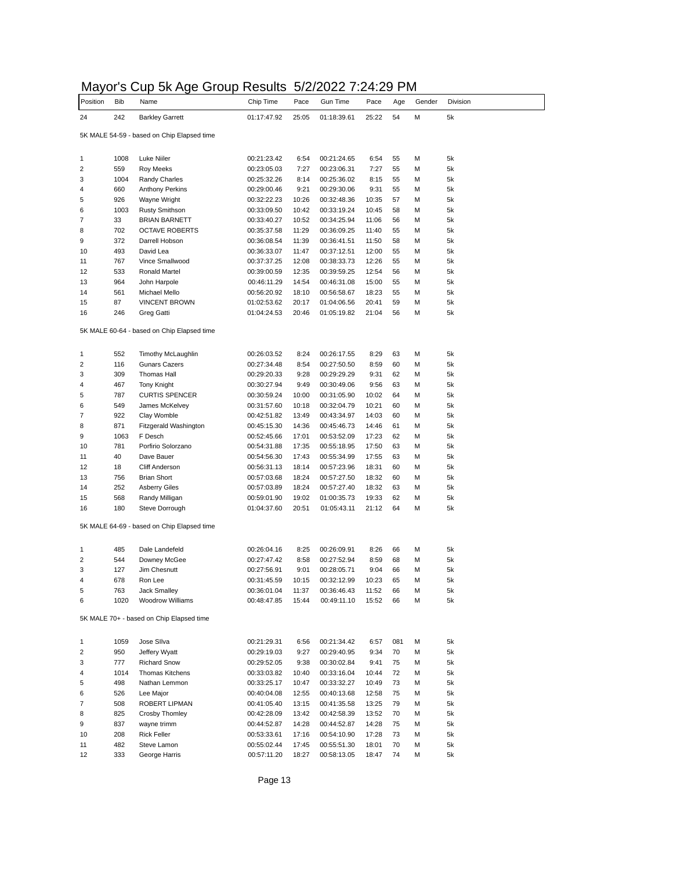| Mayor's Cup 5k Age Group Results 5/2/2022 7:24:29 PM |  |
|------------------------------------------------------|--|
|------------------------------------------------------|--|

| ivici y<br>Position     | ט וט<br><b>Bib</b> | <b>Oup on rige Order</b><br>Name           | noodito<br>Chip Time | Pace  | JI LI LULL I .L<br>Gun Time | ┱.∠<br>Pace | Age | 1 V I<br>Gender | Division |
|-------------------------|--------------------|--------------------------------------------|----------------------|-------|-----------------------------|-------------|-----|-----------------|----------|
| 24                      | 242                | <b>Barkley Garrett</b>                     | 01:17:47.92          | 25:05 | 01:18:39.61                 | 25:22       | 54  | М               | 5k       |
|                         |                    |                                            |                      |       |                             |             |     |                 |          |
|                         |                    | 5K MALE 54-59 - based on Chip Elapsed time |                      |       |                             |             |     |                 |          |
| 1                       | 1008               | Luke Niiler                                | 00:21:23.42          | 6:54  | 00:21:24.65                 | 6:54        | 55  | М               | 5k       |
| 2                       | 559                | <b>Roy Meeks</b>                           | 00:23:05.03          | 7:27  | 00:23:06.31                 | 7:27        | 55  | М               | 5k       |
| 3                       | 1004               | Randy Charles                              | 00:25:32.26          | 8:14  | 00:25:36.02                 | 8:15        | 55  | М               | 5k       |
| 4                       | 660                | Anthony Perkins                            | 00:29:00.46          | 9:21  | 00:29:30.06                 | 9:31        | 55  | М               | 5k       |
| 5                       | 926                | Wayne Wright                               | 00:32:22.23          | 10:26 | 00:32:48.36                 | 10:35       | 57  | М               | 5k       |
|                         |                    |                                            |                      |       |                             |             |     |                 |          |
| 6                       | 1003               | <b>Rusty Smithson</b>                      | 00:33:09.50          | 10:42 | 00:33:19.24                 | 10:45       | 58  | М               | 5k       |
| 7                       | 33                 | <b>BRIAN BARNETT</b>                       | 00:33:40.27          | 10:52 | 00:34:25.94                 | 11:06       | 56  | М               | 5k       |
| 8                       | 702                | <b>OCTAVE ROBERTS</b>                      | 00:35:37.58          | 11:29 | 00:36:09.25                 | 11:40       | 55  | М               | 5k       |
| 9                       | 372                | Darrell Hobson                             | 00:36:08.54          | 11:39 | 00:36:41.51                 | 11:50       | 58  | М               | 5k       |
| 10                      | 493                | David Lea                                  | 00:36:33.07          | 11:47 | 00:37:12.51                 | 12:00       | 55  | М               | 5k       |
| 11                      | 767                | Vince Smallwood                            | 00:37:37.25          | 12:08 | 00:38:33.73                 | 12:26       | 55  | М               | 5k       |
| 12                      | 533                | Ronald Martel                              | 00:39:00.59          | 12:35 | 00:39:59.25                 | 12:54       | 56  | М               | 5k       |
| 13                      | 964                | John Harpole                               | 00:46:11.29          | 14:54 | 00:46:31.08                 | 15:00       | 55  | М               | 5k       |
| 14                      | 561                | Michael Mello                              | 00:56:20.92          | 18:10 | 00:56:58.67                 | 18:23       | 55  | М               | 5k       |
| 15                      | 87                 | <b>VINCENT BROWN</b>                       | 01:02:53.62          | 20:17 | 01:04:06.56                 | 20:41       | 59  | М               | 5k       |
| 16                      | 246                | Greg Gatti                                 | 01:04:24.53          | 20:46 | 01:05:19.82                 | 21:04       | 56  | М               | 5k       |
|                         |                    |                                            |                      |       |                             |             |     |                 |          |
|                         |                    | 5K MALE 60-64 - based on Chip Elapsed time |                      |       |                             |             |     |                 |          |
| 1                       | 552                | Timothy McLaughlin                         | 00:26:03.52          | 8:24  | 00:26:17.55                 | 8:29        | 63  | М               | 5k       |
| $\overline{\mathbf{c}}$ | 116                | <b>Gunars Cazers</b>                       | 00:27:34.48          | 8:54  | 00:27:50.50                 | 8:59        | 60  | М               | 5k       |
| 3                       | 309                | Thomas Hall                                | 00:29:20.33          | 9:28  | 00:29:29.29                 | 9:31        | 62  | М               | 5k       |
| 4                       | 467                | Tony Knight                                | 00:30:27.94          | 9:49  | 00:30:49.06                 | 9:56        | 63  | М               | 5k       |
|                         |                    |                                            | 00:30:59.24          |       |                             |             | 64  | М               |          |
| 5                       | 787                | <b>CURTIS SPENCER</b>                      |                      | 10:00 | 00:31:05.90                 | 10:02       |     |                 | 5k       |
| 6                       | 549                | James McKelvey                             | 00:31:57.60          | 10:18 | 00:32:04.79                 | 10:21       | 60  | М               | 5k       |
| 7                       | 922                | Clay Womble                                | 00:42:51.82          | 13:49 | 00:43:34.97                 | 14:03       | 60  | М               | 5k       |
| 8                       | 871                | Fitzgerald Washington                      | 00:45:15.30          | 14:36 | 00:45:46.73                 | 14:46       | 61  | М               | 5k       |
| 9                       | 1063               | F Desch                                    | 00:52:45.66          | 17:01 | 00:53:52.09                 | 17:23       | 62  | М               | 5k       |
| 10                      | 781                | Porfirio Solorzano                         | 00:54:31.88          | 17:35 | 00:55:18.95                 | 17:50       | 63  | М               | 5k       |
| 11                      | 40                 | Dave Bauer                                 | 00:54:56.30          | 17:43 | 00:55:34.99                 | 17:55       | 63  | М               | 5k       |
| 12                      | 18                 | <b>Cliff Anderson</b>                      | 00:56:31.13          | 18:14 | 00:57:23.96                 | 18:31       | 60  | М               | 5k       |
| 13                      | 756                | <b>Brian Short</b>                         | 00:57:03.68          | 18:24 | 00:57:27.50                 | 18:32       | 60  | М               | 5k       |
| 14                      | 252                | <b>Asberry Giles</b>                       | 00:57:03.89          | 18:24 | 00:57:27.40                 | 18:32       | 63  | М               | 5k       |
| 15                      | 568                | Randy Milligan                             | 00:59:01.90          | 19:02 | 01:00:35.73                 | 19:33       | 62  | М               | 5k       |
| 16                      | 180                | Steve Dorrough                             | 01:04:37.60          | 20:51 | 01:05:43.11                 | 21:12       | 64  | М               | 5k       |
|                         |                    | 5K MALE 64-69 - based on Chip Elapsed time |                      |       |                             |             |     |                 |          |
|                         |                    |                                            |                      |       |                             |             |     |                 |          |
| 1                       | 485                | Dale Landefeld                             | 00:26:04.16          | 8:25  | 00:26:09.91                 | 8:26        | 66  | М               | 5k       |
| $\overline{\mathbf{c}}$ | 544                | Downey McGee                               | 00:27:47.42          | 8:58  | 00:27:52.94                 | 8:59        | 68  | М               | 5k       |
| 3                       | 127                | Jim Chesnutt                               | 00:27:56.91          | 9:01  | 00:28:05.71                 | 9:04        | 66  | М               | 5k       |
| 4                       | 678                | Ron Lee                                    | 00:31:45.59          | 10:15 | 00:32:12.99                 | 10:23       | 65  | М               | 5k       |
| 5                       | 763                | Jack Smalley                               | 00:36:01.04          | 11:37 | 00:36:46.43                 | 11:52       | 66  | М               | 5k       |
| 6                       | 1020               | Woodrow Williams                           | 00:48:47.85          | 15:44 | 00:49:11.10                 | 15:52       | 66  | М               | 5k       |
|                         |                    | 5K MALE 70+ - based on Chip Elapsed time   |                      |       |                             |             |     |                 |          |
|                         |                    |                                            |                      |       |                             |             |     |                 |          |
| 1                       | 1059               | Jose Sllva                                 | 00:21:29.31          | 6:56  | 00:21:34.42                 | 6:57        | 081 | М               | 5k       |
| $\overline{\mathbf{c}}$ | 950                | Jeffery Wyatt                              | 00:29:19.03          | 9:27  | 00:29:40.95                 | 9:34        | 70  | М               | 5k       |
| 3                       | 777                | <b>Richard Snow</b>                        | 00:29:52.05          | 9:38  | 00:30:02.84                 | 9:41        | 75  | М               | 5k       |
| 4                       | 1014               | <b>Thomas Kitchens</b>                     | 00:33:03.82          | 10:40 | 00:33:16.04                 | 10:44       | 72  | М               | 5k       |
| 5                       | 498                | Nathan Lemmon                              | 00:33:25.17          | 10:47 | 00:33:32.27                 | 10:49       | 73  | М               | 5k       |
| 6                       | 526                | Lee Major                                  | 00:40:04.08          | 12:55 | 00:40:13.68                 | 12:58       | 75  | М               | 5k       |
| 7                       | 508                | ROBERT LIPMAN                              | 00:41:05.40          | 13:15 | 00:41:35.58                 | 13:25       | 79  | М               | 5k       |
| 8                       | 825                | Crosby Thomley                             | 00:42:28.09          | 13:42 | 00:42:58.39                 | 13:52       | 70  | М               | 5k       |
| 9                       | 837                | wayne trimm                                | 00:44:52.87          | 14:28 | 00:44:52.87                 | 14:28       | 75  | М               | 5k       |
| 10                      | 208                | <b>Rick Feller</b>                         | 00:53:33.61          | 17:16 | 00:54:10.90                 | 17:28       | 73  | М               | 5k       |
| 11                      | 482                | Steve Lamon                                | 00:55:02.44          | 17:45 | 00:55:51.30                 | 18:01       | 70  | М               | 5k       |
|                         |                    |                                            |                      |       |                             |             |     |                 |          |
| 12                      | 333                | George Harris                              | 00:57:11.20          | 18:27 | 00:58:13.05                 | 18:47       | 74  | М               | 5k       |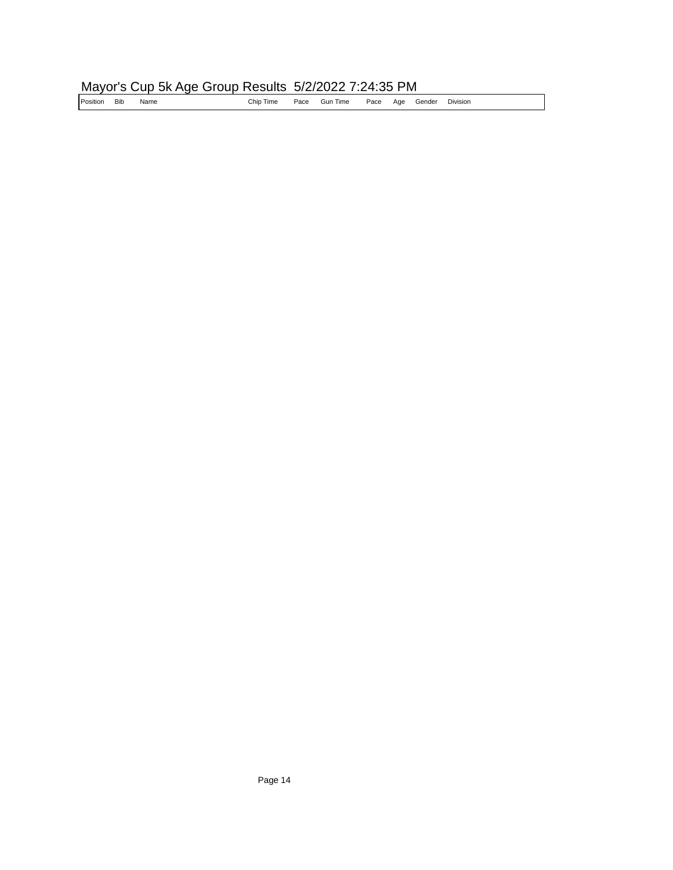# Mayor's Cup 5k Age Group Results 5/2/2022 7:24:35 PM<br>Position Bib Name Chip Time Pace Gun Time Pace Age G

Name **Name** Chip Time Pace Gun Time Pace Age Gender Division